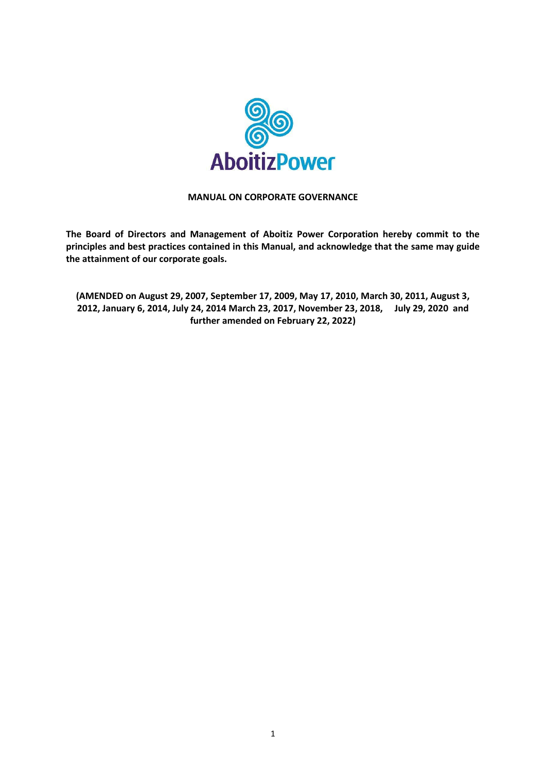

## **MANUAL ON CORPORATE GOVERNANCE**

**The Board of Directors and Management of Aboitiz Power Corporation hereby commit to the principles and best practices contained in this Manual, and acknowledge that the same may guide the attainment of our corporate goals.**

**(AMENDED on August 29, 2007, September 17, 2009, May 17, 2010, March 30, 2011, August 3, 2012, January 6, 2014, July 24, 2014 March 23, 2017, November 23, 2018, July 29, 2020 and further amended on February 22, 2022)**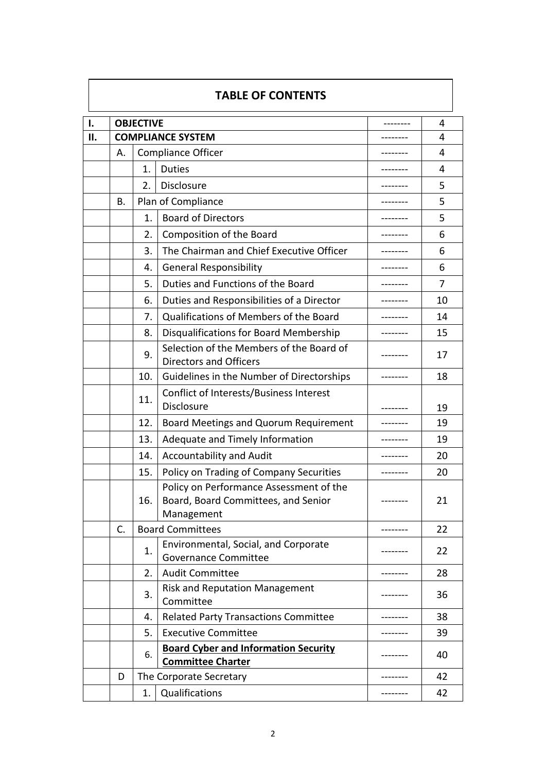| <b>TABLE OF CONTENTS</b> |    |                         |                                                                                              |           |    |  |  |  |  |  |
|--------------------------|----|-------------------------|----------------------------------------------------------------------------------------------|-----------|----|--|--|--|--|--|
| Ι.                       |    | <b>OBJECTIVE</b>        | --------                                                                                     | 4         |    |  |  |  |  |  |
| ΙΙ.                      |    |                         | <b>COMPLIANCE SYSTEM</b>                                                                     |           | 4  |  |  |  |  |  |
|                          | А. |                         | <b>Compliance Officer</b>                                                                    | -------   | 4  |  |  |  |  |  |
|                          |    | 1.                      | <b>Duties</b>                                                                                | --------  | 4  |  |  |  |  |  |
|                          |    | 2.                      | Disclosure                                                                                   | --------  | 5  |  |  |  |  |  |
|                          | В. |                         | Plan of Compliance                                                                           | --------- | 5  |  |  |  |  |  |
|                          |    | 1.                      | <b>Board of Directors</b>                                                                    |           | 5  |  |  |  |  |  |
|                          |    | 2.                      | Composition of the Board                                                                     | --------- | 6  |  |  |  |  |  |
|                          |    | 3.                      | The Chairman and Chief Executive Officer                                                     |           | 6  |  |  |  |  |  |
|                          |    | 4.                      | <b>General Responsibility</b>                                                                |           | 6  |  |  |  |  |  |
|                          |    | 5.                      | Duties and Functions of the Board                                                            |           | 7  |  |  |  |  |  |
|                          |    | 6.                      | Duties and Responsibilities of a Director                                                    |           | 10 |  |  |  |  |  |
|                          |    | 7.                      | Qualifications of Members of the Board                                                       |           | 14 |  |  |  |  |  |
|                          |    | 8.                      | Disqualifications for Board Membership                                                       |           | 15 |  |  |  |  |  |
|                          |    | 9.                      | Selection of the Members of the Board of<br><b>Directors and Officers</b>                    | --------- | 17 |  |  |  |  |  |
|                          |    | 10.                     | Guidelines in the Number of Directorships                                                    | --------  | 18 |  |  |  |  |  |
|                          |    | 11.                     | Conflict of Interests/Business Interest<br>Disclosure                                        |           | 19 |  |  |  |  |  |
|                          |    | 12.                     | Board Meetings and Quorum Requirement                                                        |           | 19 |  |  |  |  |  |
|                          |    | 13.                     | Adequate and Timely Information                                                              |           | 19 |  |  |  |  |  |
|                          |    | 14.                     | <b>Accountability and Audit</b>                                                              |           | 20 |  |  |  |  |  |
|                          |    | 15.                     | Policy on Trading of Company Securities                                                      |           | 20 |  |  |  |  |  |
|                          |    | 16.                     | Policy on Performance Assessment of the<br>Board, Board Committees, and Senior<br>Management |           | 21 |  |  |  |  |  |
|                          | C. |                         | <b>Board Committees</b>                                                                      |           | 22 |  |  |  |  |  |
|                          |    | 1.                      | Environmental, Social, and Corporate<br><b>Governance Committee</b>                          |           | 22 |  |  |  |  |  |
|                          |    | 2.                      | <b>Audit Committee</b>                                                                       |           | 28 |  |  |  |  |  |
|                          |    | 3.                      | <b>Risk and Reputation Management</b><br>Committee                                           |           | 36 |  |  |  |  |  |
|                          |    | 4.                      | <b>Related Party Transactions Committee</b>                                                  |           | 38 |  |  |  |  |  |
|                          |    | 5.                      | <b>Executive Committee</b>                                                                   |           | 39 |  |  |  |  |  |
|                          |    | 6.                      | <b>Board Cyber and Information Security</b><br><b>Committee Charter</b>                      |           | 40 |  |  |  |  |  |
|                          | D  | The Corporate Secretary |                                                                                              |           |    |  |  |  |  |  |
|                          |    | 1.                      | Qualifications                                                                               |           | 42 |  |  |  |  |  |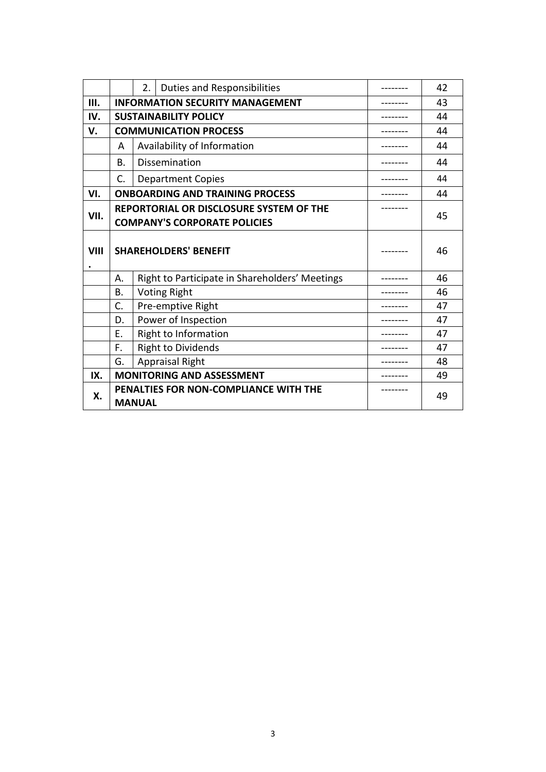|             |                                        | 2.                                                                             | Duties and Responsibilities                    | 42 |
|-------------|----------------------------------------|--------------------------------------------------------------------------------|------------------------------------------------|----|
| III.        |                                        |                                                                                | <b>INFORMATION SECURITY MANAGEMENT</b>         | 43 |
| IV.         | <b>SUSTAINABILITY POLICY</b>           |                                                                                |                                                | 44 |
| $V_{\cdot}$ | <b>COMMUNICATION PROCESS</b>           |                                                                                |                                                | 44 |
|             | A                                      |                                                                                | Availability of Information                    | 44 |
|             | В.                                     |                                                                                | Dissemination                                  | 44 |
|             | C.                                     |                                                                                | <b>Department Copies</b>                       | 44 |
| VI.         | <b>ONBOARDING AND TRAINING PROCESS</b> |                                                                                |                                                | 44 |
| VII.        |                                        | REPORTORIAL OR DISCLOSURE SYSTEM OF THE<br><b>COMPANY'S CORPORATE POLICIES</b> | 45                                             |    |
| <b>VIII</b> | <b>SHAREHOLDERS' BENEFIT</b>           |                                                                                |                                                | 46 |
| ٠           | Α.                                     |                                                                                | Right to Participate in Shareholders' Meetings | 46 |
|             | В.                                     |                                                                                | <b>Voting Right</b>                            | 46 |
|             | C.                                     |                                                                                | Pre-emptive Right                              | 47 |
|             | D.                                     |                                                                                | Power of Inspection                            | 47 |
|             | Ε.                                     |                                                                                | Right to Information                           | 47 |
|             | F.                                     |                                                                                | <b>Right to Dividends</b>                      | 47 |
|             | G.                                     |                                                                                | <b>Appraisal Right</b>                         | 48 |
| IX.         | <b>MONITORING AND ASSESSMENT</b>       |                                                                                |                                                | 49 |
| Х.          |                                        | PENALTIES FOR NON-COMPLIANCE WITH THE<br><b>MANUAL</b>                         | 49                                             |    |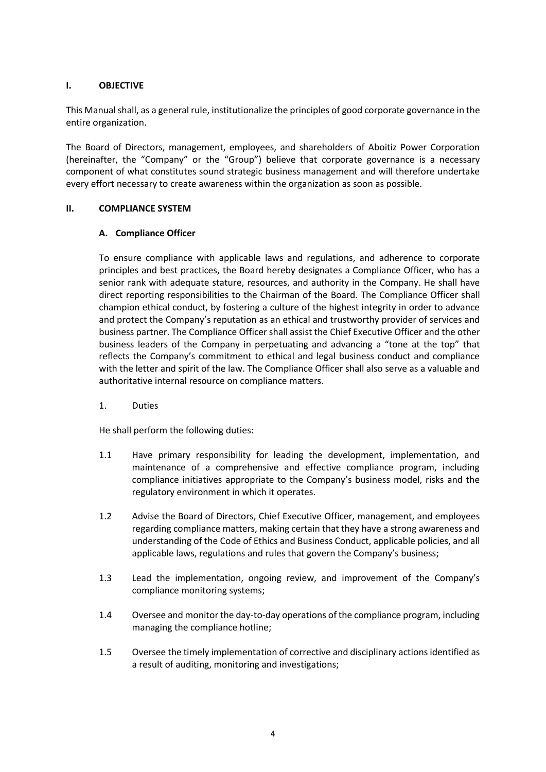## **I. OBJECTIVE**

This Manual shall, as a general rule, institutionalize the principles of good corporate governance in the entire organization.

The Board of Directors, management, employees, and shareholders of Aboitiz Power Corporation (hereinafter, the "Company" or the "Group") believe that corporate governance is a necessary component of what constitutes sound strategic business management and will therefore undertake every effort necessary to create awareness within the organization as soon as possible.

## **II. COMPLIANCE SYSTEM**

## **A. Compliance Officer**

To ensure compliance with applicable laws and regulations, and adherence to corporate principles and best practices, the Board hereby designates a Compliance Officer, who has a senior rank with adequate stature, resources, and authority in the Company. He shall have direct reporting responsibilities to the Chairman of the Board. The Compliance Officer shall champion ethical conduct, by fostering a culture of the highest integrity in order to advance and protect the Company's reputation as an ethical and trustworthy provider of services and business partner. The Compliance Officer shall assist the Chief Executive Officer and the other business leaders of the Company in perpetuating and advancing a "tone at the top" that reflects the Company's commitment to ethical and legal business conduct and compliance with the letter and spirit of the law. The Compliance Officer shall also serve as a valuable and authoritative internal resource on compliance matters.

1. Duties

He shall perform the following duties:

- 1.1 Have primary responsibility for leading the development, implementation, and maintenance of a comprehensive and effective compliance program, including compliance initiatives appropriate to the Company's business model, risks and the regulatory environment in which it operates.
- 1.2 Advise the Board of Directors, Chief Executive Officer, management, and employees regarding compliance matters, making certain that they have a strong awareness and understanding of the Code of Ethics and Business Conduct, applicable policies, and all applicable laws, regulations and rules that govern the Company's business;
- 1.3 Lead the implementation, ongoing review, and improvement of the Company's compliance monitoring systems;
- 1.4 Oversee and monitor the day-to-day operations of the compliance program, including managing the compliance hotline;
- 1.5 Oversee the timely implementation of corrective and disciplinary actions identified as a result of auditing, monitoring and investigations;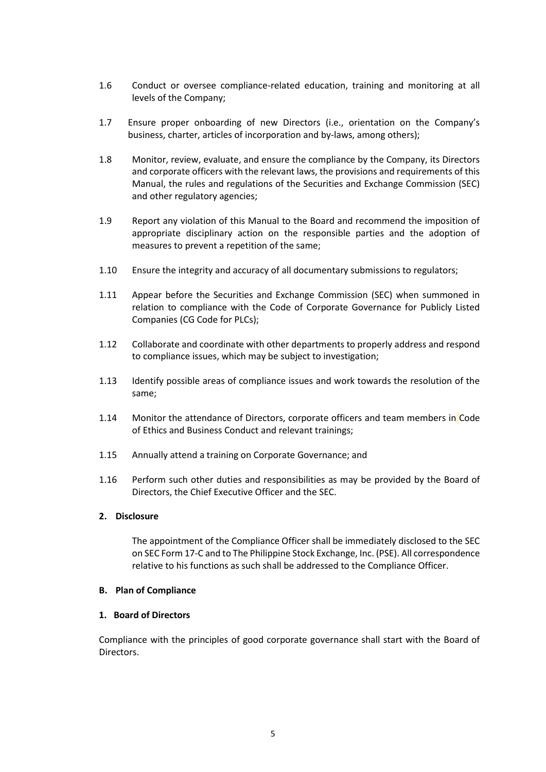- 1.6 Conduct or oversee compliance-related education, training and monitoring at all levels of the Company;
- 1.7 Ensure proper onboarding of new Directors (i.e., orientation on the Company's business, charter, articles of incorporation and by-laws, among others);
- 1.8 Monitor, review, evaluate, and ensure the compliance by the Company, its Directors and corporate officers with the relevant laws, the provisions and requirements of this Manual, the rules and regulations of the Securities and Exchange Commission (SEC) and other regulatory agencies;
- 1.9 Report any violation of this Manual to the Board and recommend the imposition of appropriate disciplinary action on the responsible parties and the adoption of measures to prevent a repetition of the same;
- 1.10 Ensure the integrity and accuracy of all documentary submissions to regulators;
- 1.11 Appear before the Securities and Exchange Commission (SEC) when summoned in relation to compliance with the Code of Corporate Governance for Publicly Listed Companies (CG Code for PLCs);
- 1.12 Collaborate and coordinate with other departments to properly address and respond to compliance issues, which may be subject to investigation;
- 1.13 Identify possible areas of compliance issues and work towards the resolution of the same;
- 1.14 Monitor the attendance of Directors, corporate officers and team members in Code of Ethics and Business Conduct and relevant trainings;
- 1.15 Annually attend a training on Corporate Governance; and
- 1.16 Perform such other duties and responsibilities as may be provided by the Board of Directors, the Chief Executive Officer and the SEC.

#### **2. Disclosure**

The appointment of the Compliance Officer shall be immediately disclosed to the SEC on SEC Form 17-C and to The Philippine Stock Exchange, Inc. (PSE). All correspondence relative to his functions as such shall be addressed to the Compliance Officer.

#### **B. Plan of Compliance**

#### **1. Board of Directors**

Compliance with the principles of good corporate governance shall start with the Board of Directors.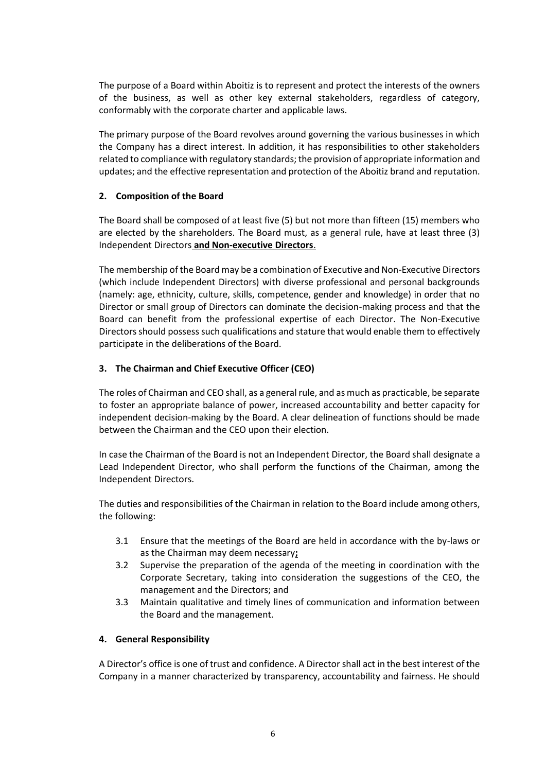The purpose of a Board within Aboitiz is to represent and protect the interests of the owners of the business, as well as other key external stakeholders, regardless of category, conformably with the corporate charter and applicable laws.

The primary purpose of the Board revolves around governing the various businesses in which the Company has a direct interest. In addition, it has responsibilities to other stakeholders related to compliance with regulatory standards; the provision of appropriate information and updates; and the effective representation and protection of the Aboitiz brand and reputation.

## **2. Composition of the Board**

The Board shall be composed of at least five (5) but not more than fifteen (15) members who are elected by the shareholders. The Board must, as a general rule, have at least three (3) Independent Directors **and Non-executive Directors**.

The membership of the Board may be a combination of Executive and Non-Executive Directors (which include Independent Directors) with diverse professional and personal backgrounds (namely: age, ethnicity, culture, skills, competence, gender and knowledge) in order that no Director or small group of Directors can dominate the decision-making process and that the Board can benefit from the professional expertise of each Director. The Non-Executive Directors should possess such qualifications and stature that would enable them to effectively participate in the deliberations of the Board.

# **3. The Chairman and Chief Executive Officer (CEO)**

The roles of Chairman and CEO shall, as a general rule, and as much as practicable, be separate to foster an appropriate balance of power, increased accountability and better capacity for independent decision-making by the Board. A clear delineation of functions should be made between the Chairman and the CEO upon their election.

In case the Chairman of the Board is not an Independent Director, the Board shall designate a Lead Independent Director, who shall perform the functions of the Chairman, among the Independent Directors.

The duties and responsibilities of the Chairman in relation to the Board include among others, the following:

- 3.1 Ensure that the meetings of the Board are held in accordance with the by-laws or as the Chairman may deem necessary**;**
- 3.2 Supervise the preparation of the agenda of the meeting in coordination with the Corporate Secretary, taking into consideration the suggestions of the CEO, the management and the Directors; and
- 3.3 Maintain qualitative and timely lines of communication and information between the Board and the management.

## **4. General Responsibility**

A Director's office is one of trust and confidence. A Director shall act in the best interest of the Company in a manner characterized by transparency, accountability and fairness. He should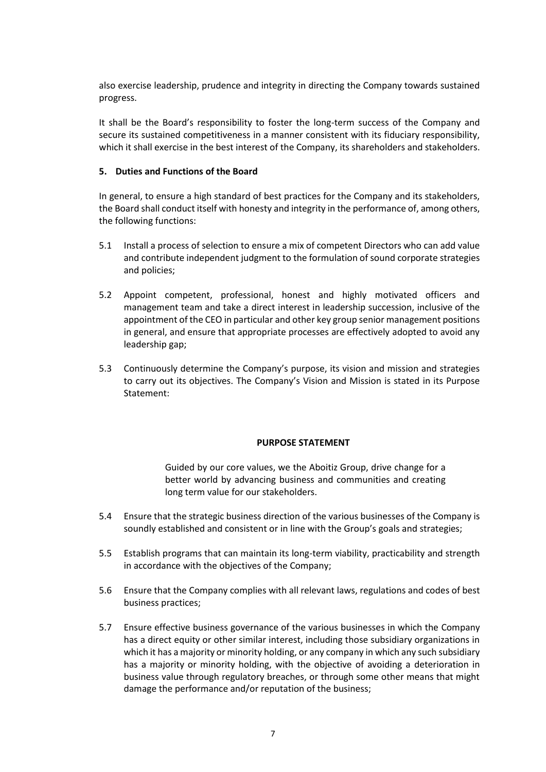also exercise leadership, prudence and integrity in directing the Company towards sustained progress.

It shall be the Board's responsibility to foster the long-term success of the Company and secure its sustained competitiveness in a manner consistent with its fiduciary responsibility, which it shall exercise in the best interest of the Company, its shareholders and stakeholders.

## **5. Duties and Functions of the Board**

In general, to ensure a high standard of best practices for the Company and its stakeholders, the Board shall conduct itself with honesty and integrity in the performance of, among others, the following functions:

- 5.1 Install a process of selection to ensure a mix of competent Directors who can add value and contribute independent judgment to the formulation of sound corporate strategies and policies;
- 5.2 Appoint competent, professional, honest and highly motivated officers and management team and take a direct interest in leadership succession, inclusive of the appointment of the CEO in particular and other key group senior management positions in general, and ensure that appropriate processes are effectively adopted to avoid any leadership gap;
- 5.3 Continuously determine the Company's purpose, its vision and mission and strategies to carry out its objectives. The Company's Vision and Mission is stated in its Purpose Statement:

## **PURPOSE STATEMENT**

Guided by our core values, we the Aboitiz Group, drive change for a better world by advancing business and communities and creating long term value for our stakeholders.

- 5.4 Ensure that the strategic business direction of the various businesses of the Company is soundly established and consistent or in line with the Group's goals and strategies;
- 5.5 Establish programs that can maintain its long-term viability, practicability and strength in accordance with the objectives of the Company;
- 5.6 Ensure that the Company complies with all relevant laws, regulations and codes of best business practices;
- 5.7 Ensure effective business governance of the various businesses in which the Company has a direct equity or other similar interest, including those subsidiary organizations in which it has a majority or minority holding, or any company in which any such subsidiary has a majority or minority holding, with the objective of avoiding a deterioration in business value through regulatory breaches, or through some other means that might damage the performance and/or reputation of the business;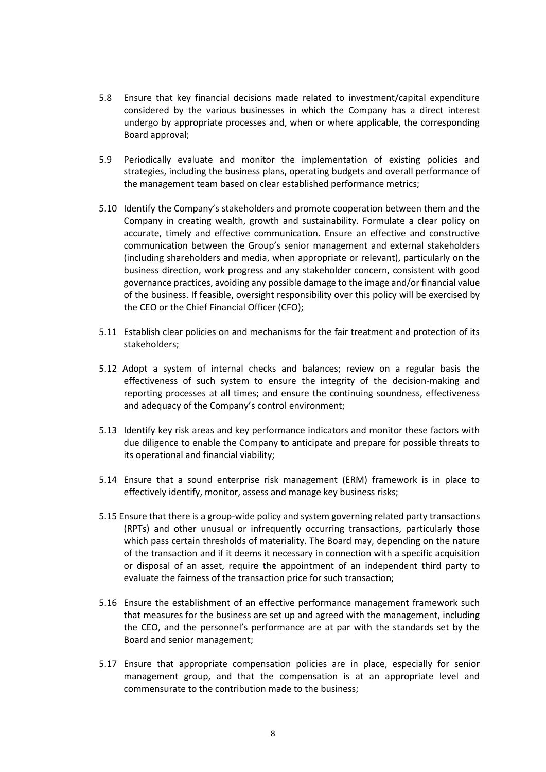- 5.8 Ensure that key financial decisions made related to investment/capital expenditure considered by the various businesses in which the Company has a direct interest undergo by appropriate processes and, when or where applicable, the corresponding Board approval;
- 5.9 Periodically evaluate and monitor the implementation of existing policies and strategies, including the business plans, operating budgets and overall performance of the management team based on clear established performance metrics;
- 5.10 Identify the Company's stakeholders and promote cooperation between them and the Company in creating wealth, growth and sustainability. Formulate a clear policy on accurate, timely and effective communication. Ensure an effective and constructive communication between the Group's senior management and external stakeholders (including shareholders and media, when appropriate or relevant), particularly on the business direction, work progress and any stakeholder concern, consistent with good governance practices, avoiding any possible damage to the image and/or financial value of the business. If feasible, oversight responsibility over this policy will be exercised by the CEO or the Chief Financial Officer (CFO);
- 5.11 Establish clear policies on and mechanisms for the fair treatment and protection of its stakeholders;
- 5.12 Adopt a system of internal checks and balances; review on a regular basis the effectiveness of such system to ensure the integrity of the decision-making and reporting processes at all times; and ensure the continuing soundness, effectiveness and adequacy of the Company's control environment;
- 5.13 Identify key risk areas and key performance indicators and monitor these factors with due diligence to enable the Company to anticipate and prepare for possible threats to its operational and financial viability;
- 5.14 Ensure that a sound enterprise risk management (ERM) framework is in place to effectively identify, monitor, assess and manage key business risks;
- 5.15 Ensure that there is a group-wide policy and system governing related party transactions (RPTs) and other unusual or infrequently occurring transactions, particularly those which pass certain thresholds of materiality. The Board may, depending on the nature of the transaction and if it deems it necessary in connection with a specific acquisition or disposal of an asset, require the appointment of an independent third party to evaluate the fairness of the transaction price for such transaction;
- 5.16 Ensure the establishment of an effective performance management framework such that measures for the business are set up and agreed with the management, including the CEO, and the personnel's performance are at par with the standards set by the Board and senior management;
- 5.17 Ensure that appropriate compensation policies are in place, especially for senior management group, and that the compensation is at an appropriate level and commensurate to the contribution made to the business;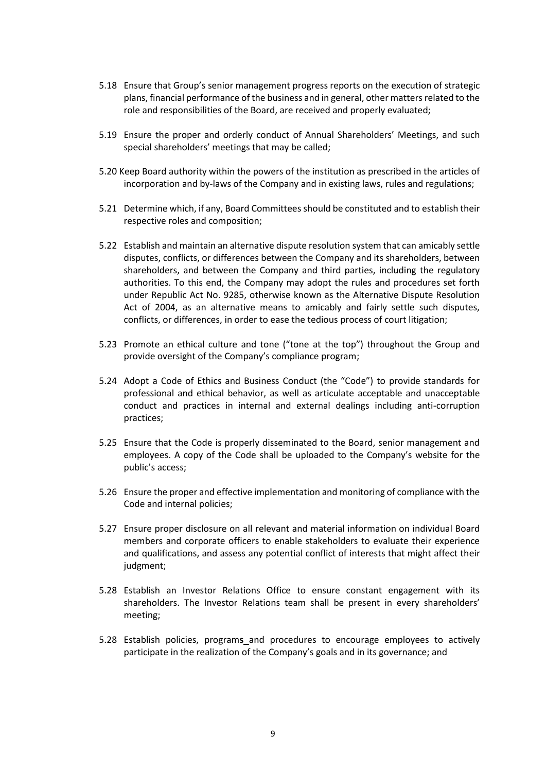- 5.18 Ensure that Group's senior management progress reports on the execution of strategic plans, financial performance of the business and in general, other matters related to the role and responsibilities of the Board, are received and properly evaluated;
- 5.19 Ensure the proper and orderly conduct of Annual Shareholders' Meetings, and such special shareholders' meetings that may be called;
- 5.20 Keep Board authority within the powers of the institution as prescribed in the articles of incorporation and by-laws of the Company and in existing laws, rules and regulations;
- 5.21 Determine which, if any, Board Committees should be constituted and to establish their respective roles and composition;
- 5.22 Establish and maintain an alternative dispute resolution system that can amicably settle disputes, conflicts, or differences between the Company and its shareholders, between shareholders, and between the Company and third parties, including the regulatory authorities. To this end, the Company may adopt the rules and procedures set forth under Republic Act No. 9285, otherwise known as the Alternative Dispute Resolution Act of 2004, as an alternative means to amicably and fairly settle such disputes, conflicts, or differences, in order to ease the tedious process of court litigation;
- 5.23 Promote an ethical culture and tone ("tone at the top") throughout the Group and provide oversight of the Company's compliance program;
- 5.24 Adopt a Code of Ethics and Business Conduct (the "Code") to provide standards for professional and ethical behavior, as well as articulate acceptable and unacceptable conduct and practices in internal and external dealings including anti-corruption practices;
- 5.25 Ensure that the Code is properly disseminated to the Board, senior management and employees. A copy of the Code shall be uploaded to the Company's website for the public's access;
- 5.26 Ensure the proper and effective implementation and monitoring of compliance with the Code and internal policies;
- 5.27 Ensure proper disclosure on all relevant and material information on individual Board members and corporate officers to enable stakeholders to evaluate their experience and qualifications, and assess any potential conflict of interests that might affect their judgment;
- 5.28 Establish an Investor Relations Office to ensure constant engagement with its shareholders. The Investor Relations team shall be present in every shareholders' meeting;
- 5.28 Establish policies, program**s** and procedures to encourage employees to actively participate in the realization of the Company's goals and in its governance; and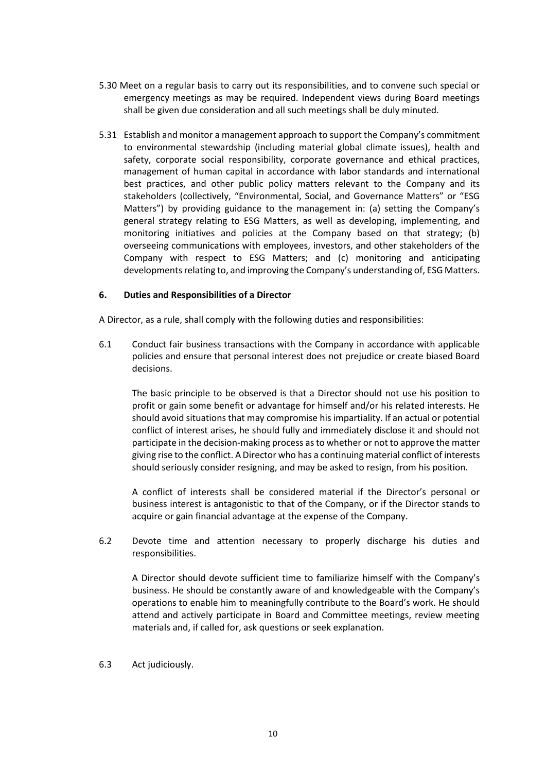- 5.30 Meet on a regular basis to carry out its responsibilities, and to convene such special or emergency meetings as may be required. Independent views during Board meetings shall be given due consideration and all such meetings shall be duly minuted.
- 5.31 Establish and monitor a management approach to support the Company's commitment to environmental stewardship (including material global climate issues), health and safety, corporate social responsibility, corporate governance and ethical practices, management of human capital in accordance with labor standards and international best practices, and other public policy matters relevant to the Company and its stakeholders (collectively, "Environmental, Social, and Governance Matters" or "ESG Matters") by providing guidance to the management in: (a) setting the Company's general strategy relating to ESG Matters, as well as developing, implementing, and monitoring initiatives and policies at the Company based on that strategy; (b) overseeing communications with employees, investors, and other stakeholders of the Company with respect to ESG Matters; and (c) monitoring and anticipating developments relating to, and improving the Company's understanding of, ESG Matters.

## **6. Duties and Responsibilities of a Director**

A Director, as a rule, shall comply with the following duties and responsibilities:

6.1 Conduct fair business transactions with the Company in accordance with applicable policies and ensure that personal interest does not prejudice or create biased Board decisions.

The basic principle to be observed is that a Director should not use his position to profit or gain some benefit or advantage for himself and/or his related interests. He should avoid situations that may compromise his impartiality. If an actual or potential conflict of interest arises, he should fully and immediately disclose it and should not participate in the decision-making process as to whether or not to approve the matter giving rise to the conflict. A Director who has a continuing material conflict of interests should seriously consider resigning, and may be asked to resign, from his position.

A conflict of interests shall be considered material if the Director's personal or business interest is antagonistic to that of the Company, or if the Director stands to acquire or gain financial advantage at the expense of the Company.

6.2 Devote time and attention necessary to properly discharge his duties and responsibilities.

A Director should devote sufficient time to familiarize himself with the Company's business. He should be constantly aware of and knowledgeable with the Company's operations to enable him to meaningfully contribute to the Board's work. He should attend and actively participate in Board and Committee meetings, review meeting materials and, if called for, ask questions or seek explanation.

6.3 Act judiciously.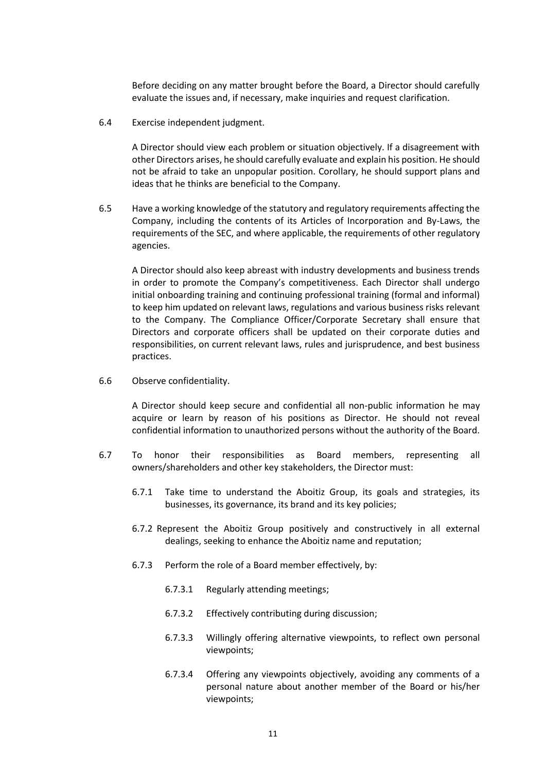Before deciding on any matter brought before the Board, a Director should carefully evaluate the issues and, if necessary, make inquiries and request clarification.

6.4 Exercise independent judgment.

A Director should view each problem or situation objectively. If a disagreement with other Directors arises, he should carefully evaluate and explain his position. He should not be afraid to take an unpopular position. Corollary, he should support plans and ideas that he thinks are beneficial to the Company.

6.5 Have a working knowledge of the statutory and regulatory requirements affecting the Company, including the contents of its Articles of Incorporation and By-Laws, the requirements of the SEC, and where applicable, the requirements of other regulatory agencies.

A Director should also keep abreast with industry developments and business trends in order to promote the Company's competitiveness. Each Director shall undergo initial onboarding training and continuing professional training (formal and informal) to keep him updated on relevant laws, regulations and various business risks relevant to the Company. The Compliance Officer/Corporate Secretary shall ensure that Directors and corporate officers shall be updated on their corporate duties and responsibilities, on current relevant laws, rules and jurisprudence, and best business practices.

6.6 Observe confidentiality.

A Director should keep secure and confidential all non-public information he may acquire or learn by reason of his positions as Director. He should not reveal confidential information to unauthorized persons without the authority of the Board.

- 6.7 To honor their responsibilities as Board members, representing all owners/shareholders and other key stakeholders, the Director must:
	- 6.7.1 Take time to understand the Aboitiz Group, its goals and strategies, its businesses, its governance, its brand and its key policies;
	- 6.7.2 Represent the Aboitiz Group positively and constructively in all external dealings, seeking to enhance the Aboitiz name and reputation;
	- 6.7.3 Perform the role of a Board member effectively, by:
		- 6.7.3.1 Regularly attending meetings;
		- 6.7.3.2 Effectively contributing during discussion;
		- 6.7.3.3 Willingly offering alternative viewpoints, to reflect own personal viewpoints;
		- 6.7.3.4 Offering any viewpoints objectively, avoiding any comments of a personal nature about another member of the Board or his/her viewpoints;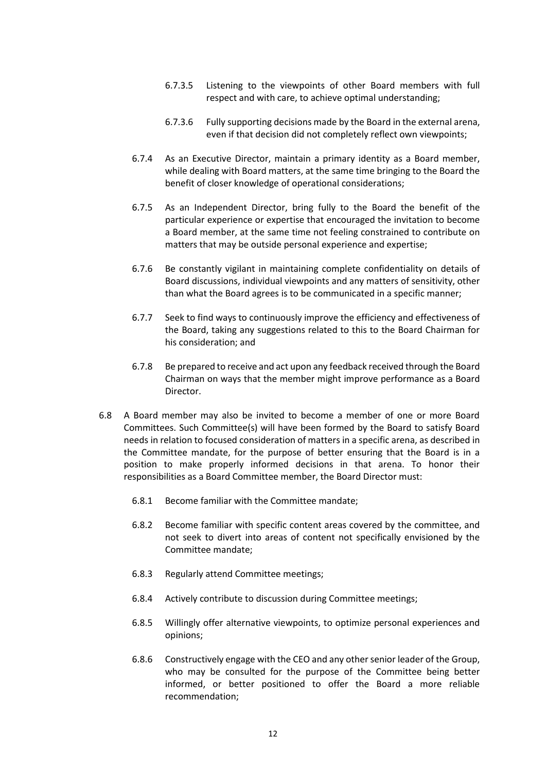- 6.7.3.5 Listening to the viewpoints of other Board members with full respect and with care, to achieve optimal understanding;
- 6.7.3.6 Fully supporting decisions made by the Board in the external arena, even if that decision did not completely reflect own viewpoints;
- 6.7.4 As an Executive Director, maintain a primary identity as a Board member, while dealing with Board matters, at the same time bringing to the Board the benefit of closer knowledge of operational considerations;
- 6.7.5 As an Independent Director, bring fully to the Board the benefit of the particular experience or expertise that encouraged the invitation to become a Board member, at the same time not feeling constrained to contribute on matters that may be outside personal experience and expertise;
- 6.7.6 Be constantly vigilant in maintaining complete confidentiality on details of Board discussions, individual viewpoints and any matters of sensitivity, other than what the Board agrees is to be communicated in a specific manner;
- 6.7.7 Seek to find ways to continuously improve the efficiency and effectiveness of the Board, taking any suggestions related to this to the Board Chairman for his consideration; and
- 6.7.8 Be prepared to receive and act upon any feedback received through the Board Chairman on ways that the member might improve performance as a Board Director.
- 6.8 A Board member may also be invited to become a member of one or more Board Committees. Such Committee(s) will have been formed by the Board to satisfy Board needs in relation to focused consideration of matters in a specific arena, as described in the Committee mandate, for the purpose of better ensuring that the Board is in a position to make properly informed decisions in that arena. To honor their responsibilities as a Board Committee member, the Board Director must:
	- 6.8.1 Become familiar with the Committee mandate;
	- 6.8.2 Become familiar with specific content areas covered by the committee, and not seek to divert into areas of content not specifically envisioned by the Committee mandate;
	- 6.8.3 Regularly attend Committee meetings;
	- 6.8.4 Actively contribute to discussion during Committee meetings;
	- 6.8.5 Willingly offer alternative viewpoints, to optimize personal experiences and opinions;
	- 6.8.6 Constructively engage with the CEO and any other senior leader of the Group, who may be consulted for the purpose of the Committee being better informed, or better positioned to offer the Board a more reliable recommendation;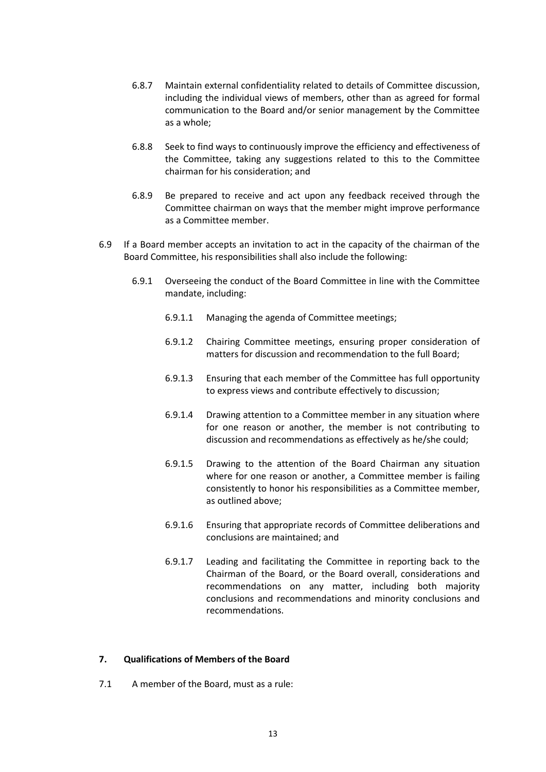- 6.8.7 Maintain external confidentiality related to details of Committee discussion, including the individual views of members, other than as agreed for formal communication to the Board and/or senior management by the Committee as a whole;
- 6.8.8 Seek to find ways to continuously improve the efficiency and effectiveness of the Committee, taking any suggestions related to this to the Committee chairman for his consideration; and
- 6.8.9 Be prepared to receive and act upon any feedback received through the Committee chairman on ways that the member might improve performance as a Committee member.
- 6.9 If a Board member accepts an invitation to act in the capacity of the chairman of the Board Committee, his responsibilities shall also include the following:
	- 6.9.1 Overseeing the conduct of the Board Committee in line with the Committee mandate, including:
		- 6.9.1.1 Managing the agenda of Committee meetings;
		- 6.9.1.2 Chairing Committee meetings, ensuring proper consideration of matters for discussion and recommendation to the full Board;
		- 6.9.1.3 Ensuring that each member of the Committee has full opportunity to express views and contribute effectively to discussion;
		- 6.9.1.4 Drawing attention to a Committee member in any situation where for one reason or another, the member is not contributing to discussion and recommendations as effectively as he/she could;
		- 6.9.1.5 Drawing to the attention of the Board Chairman any situation where for one reason or another, a Committee member is failing consistently to honor his responsibilities as a Committee member, as outlined above;
		- 6.9.1.6 Ensuring that appropriate records of Committee deliberations and conclusions are maintained; and
		- 6.9.1.7 Leading and facilitating the Committee in reporting back to the Chairman of the Board, or the Board overall, considerations and recommendations on any matter, including both majority conclusions and recommendations and minority conclusions and recommendations.

## **7. Qualifications of Members of the Board**

7.1 A member of the Board, must as a rule: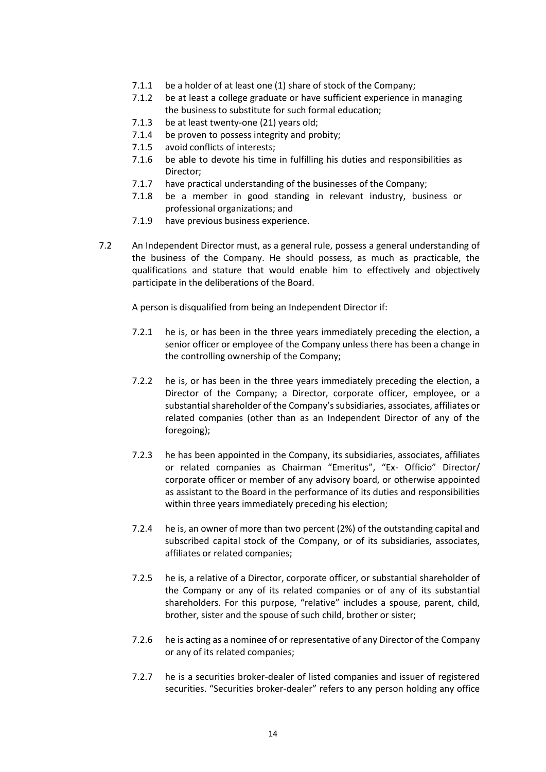- 7.1.1 be a holder of at least one (1) share of stock of the Company;
- 7.1.2 be at least a college graduate or have sufficient experience in managing the business to substitute for such formal education;
- 7.1.3 be at least twenty-one (21) years old;
- 7.1.4 be proven to possess integrity and probity;
- 7.1.5 avoid conflicts of interests;
- 7.1.6 be able to devote his time in fulfilling his duties and responsibilities as Director;
- 7.1.7 have practical understanding of the businesses of the Company;
- 7.1.8 be a member in good standing in relevant industry, business or professional organizations; and
- 7.1.9 have previous business experience.
- 7.2 An Independent Director must, as a general rule, possess a general understanding of the business of the Company. He should possess, as much as practicable, the qualifications and stature that would enable him to effectively and objectively participate in the deliberations of the Board.

A person is disqualified from being an Independent Director if:

- 7.2.1 he is, or has been in the three years immediately preceding the election, a senior officer or employee of the Company unless there has been a change in the controlling ownership of the Company;
- 7.2.2 he is, or has been in the three years immediately preceding the election, a Director of the Company; a Director, corporate officer, employee, or a substantial shareholder of the Company's subsidiaries, associates, affiliates or related companies (other than as an Independent Director of any of the foregoing);
- 7.2.3 he has been appointed in the Company, its subsidiaries, associates, affiliates or related companies as Chairman "Emeritus", "Ex- Officio" Director/ corporate officer or member of any advisory board, or otherwise appointed as assistant to the Board in the performance of its duties and responsibilities within three years immediately preceding his election;
- 7.2.4 he is, an owner of more than two percent (2%) of the outstanding capital and subscribed capital stock of the Company, or of its subsidiaries, associates, affiliates or related companies;
- 7.2.5 he is, a relative of a Director, corporate officer, or substantial shareholder of the Company or any of its related companies or of any of its substantial shareholders. For this purpose, "relative" includes a spouse, parent, child, brother, sister and the spouse of such child, brother or sister;
- 7.2.6 he is acting as a nominee of or representative of any Director of the Company or any of its related companies;
- 7.2.7 he is a securities broker-dealer of listed companies and issuer of registered securities. "Securities broker-dealer" refers to any person holding any office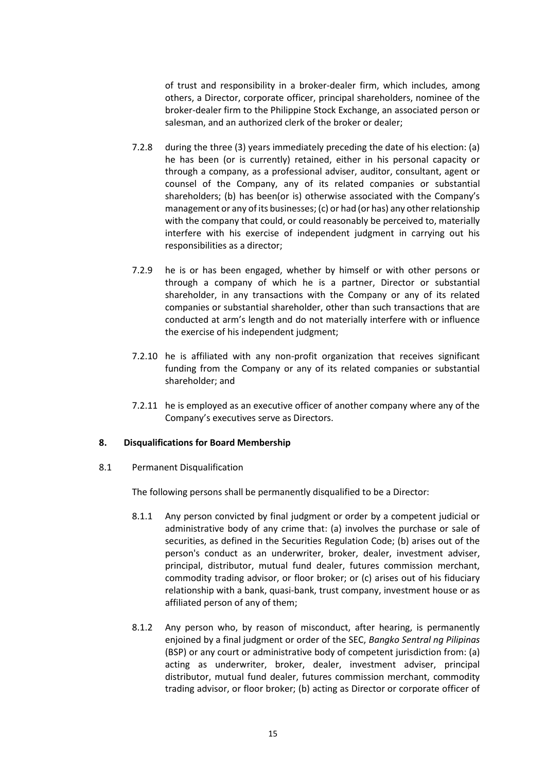of trust and responsibility in a broker-dealer firm, which includes, among others, a Director, corporate officer, principal shareholders, nominee of the broker-dealer firm to the Philippine Stock Exchange, an associated person or salesman, and an authorized clerk of the broker or dealer;

- 7.2.8 during the three (3) years immediately preceding the date of his election: (a) he has been (or is currently) retained, either in his personal capacity or through a company, as a professional adviser, auditor, consultant, agent or counsel of the Company, any of its related companies or substantial shareholders; (b) has been(or is) otherwise associated with the Company's management or any of its businesses; (c) or had (or has) any other relationship with the company that could, or could reasonably be perceived to, materially interfere with his exercise of independent judgment in carrying out his responsibilities as a director;
- 7.2.9 he is or has been engaged, whether by himself or with other persons or through a company of which he is a partner, Director or substantial shareholder, in any transactions with the Company or any of its related companies or substantial shareholder, other than such transactions that are conducted at arm's length and do not materially interfere with or influence the exercise of his independent judgment;
- 7.2.10 he is affiliated with any non-profit organization that receives significant funding from the Company or any of its related companies or substantial shareholder; and
- 7.2.11 he is employed as an executive officer of another company where any of the Company's executives serve as Directors.

## **8. Disqualifications for Board Membership**

8.1 Permanent Disqualification

The following persons shall be permanently disqualified to be a Director:

- 8.1.1 Any person convicted by final judgment or order by a competent judicial or administrative body of any crime that: (a) involves the purchase or sale of securities, as defined in the Securities Regulation Code; (b) arises out of the person's conduct as an underwriter, broker, dealer, investment adviser, principal, distributor, mutual fund dealer, futures commission merchant, commodity trading advisor, or floor broker; or (c) arises out of his fiduciary relationship with a bank, quasi-bank, trust company, investment house or as affiliated person of any of them;
- 8.1.2 Any person who, by reason of misconduct, after hearing, is permanently enjoined by a final judgment or order of the SEC, *Bangko Sentral ng Pilipinas* (BSP) or any court or administrative body of competent jurisdiction from: (a) acting as underwriter, broker, dealer, investment adviser, principal distributor, mutual fund dealer, futures commission merchant, commodity trading advisor, or floor broker; (b) acting as Director or corporate officer of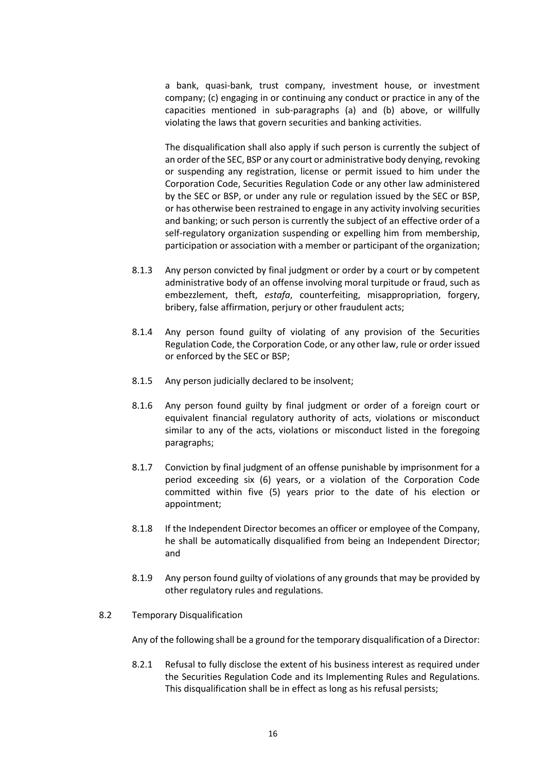a bank, quasi-bank, trust company, investment house, or investment company; (c) engaging in or continuing any conduct or practice in any of the capacities mentioned in sub-paragraphs (a) and (b) above, or willfully violating the laws that govern securities and banking activities.

The disqualification shall also apply if such person is currently the subject of an order of the SEC, BSP or any court or administrative body denying, revoking or suspending any registration, license or permit issued to him under the Corporation Code, Securities Regulation Code or any other law administered by the SEC or BSP, or under any rule or regulation issued by the SEC or BSP, or has otherwise been restrained to engage in any activity involving securities and banking; or such person is currently the subject of an effective order of a self-regulatory organization suspending or expelling him from membership, participation or association with a member or participant of the organization;

- 8.1.3 Any person convicted by final judgment or order by a court or by competent administrative body of an offense involving moral turpitude or fraud, such as embezzlement, theft, *estafa*, counterfeiting, misappropriation, forgery, bribery, false affirmation, perjury or other fraudulent acts;
- 8.1.4 Any person found guilty of violating of any provision of the Securities Regulation Code, the Corporation Code, or any other law, rule or order issued or enforced by the SEC or BSP;
- 8.1.5 Any person judicially declared to be insolvent;
- 8.1.6 Any person found guilty by final judgment or order of a foreign court or equivalent financial regulatory authority of acts, violations or misconduct similar to any of the acts, violations or misconduct listed in the foregoing paragraphs;
- 8.1.7 Conviction by final judgment of an offense punishable by imprisonment for a period exceeding six (6) years, or a violation of the Corporation Code committed within five (5) years prior to the date of his election or appointment;
- 8.1.8 If the Independent Director becomes an officer or employee of the Company, he shall be automatically disqualified from being an Independent Director; and
- 8.1.9 Any person found guilty of violations of any grounds that may be provided by other regulatory rules and regulations.
- 8.2 Temporary Disqualification

Any of the following shall be a ground for the temporary disqualification of a Director:

8.2.1 Refusal to fully disclose the extent of his business interest as required under the Securities Regulation Code and its Implementing Rules and Regulations. This disqualification shall be in effect as long as his refusal persists;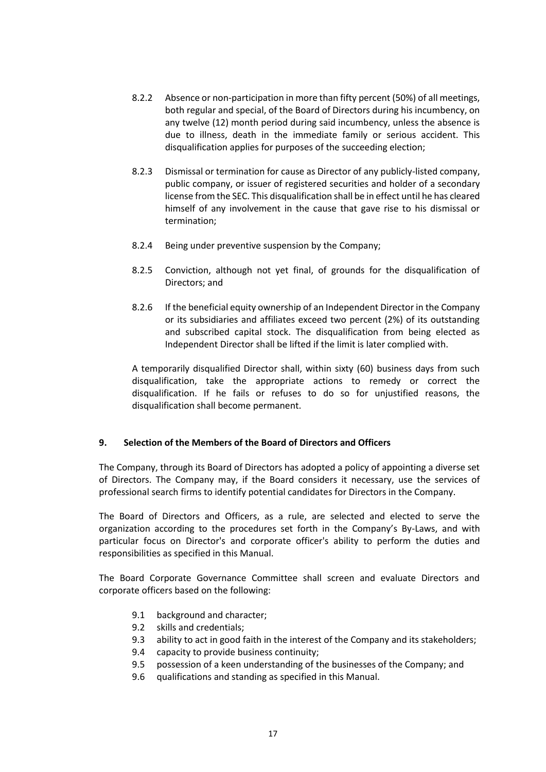- 8.2.2 Absence or non-participation in more than fifty percent (50%) of all meetings, both regular and special, of the Board of Directors during his incumbency, on any twelve (12) month period during said incumbency, unless the absence is due to illness, death in the immediate family or serious accident. This disqualification applies for purposes of the succeeding election;
- 8.2.3 Dismissal or termination for cause as Director of any publicly-listed company, public company, or issuer of registered securities and holder of a secondary license from the SEC. This disqualification shall be in effect until he has cleared himself of any involvement in the cause that gave rise to his dismissal or termination;
- 8.2.4 Being under preventive suspension by the Company;
- 8.2.5 Conviction, although not yet final, of grounds for the disqualification of Directors; and
- 8.2.6 If the beneficial equity ownership of an Independent Director in the Company or its subsidiaries and affiliates exceed two percent (2%) of its outstanding and subscribed capital stock. The disqualification from being elected as Independent Director shall be lifted if the limit is later complied with.

A temporarily disqualified Director shall, within sixty (60) business days from such disqualification, take the appropriate actions to remedy or correct the disqualification. If he fails or refuses to do so for unjustified reasons, the disqualification shall become permanent.

## **9. Selection of the Members of the Board of Directors and Officers**

The Company, through its Board of Directors has adopted a policy of appointing a diverse set of Directors. The Company may, if the Board considers it necessary, use the services of professional search firms to identify potential candidates for Directors in the Company.

The Board of Directors and Officers, as a rule, are selected and elected to serve the organization according to the procedures set forth in the Company's By-Laws, and with particular focus on Director's and corporate officer's ability to perform the duties and responsibilities as specified in this Manual.

The Board Corporate Governance Committee shall screen and evaluate Directors and corporate officers based on the following:

- 9.1 background and character;
- 9.2 skills and credentials;
- 9.3 ability to act in good faith in the interest of the Company and its stakeholders;
- 9.4 capacity to provide business continuity;
- 9.5 possession of a keen understanding of the businesses of the Company; and
- 9.6 qualifications and standing as specified in this Manual.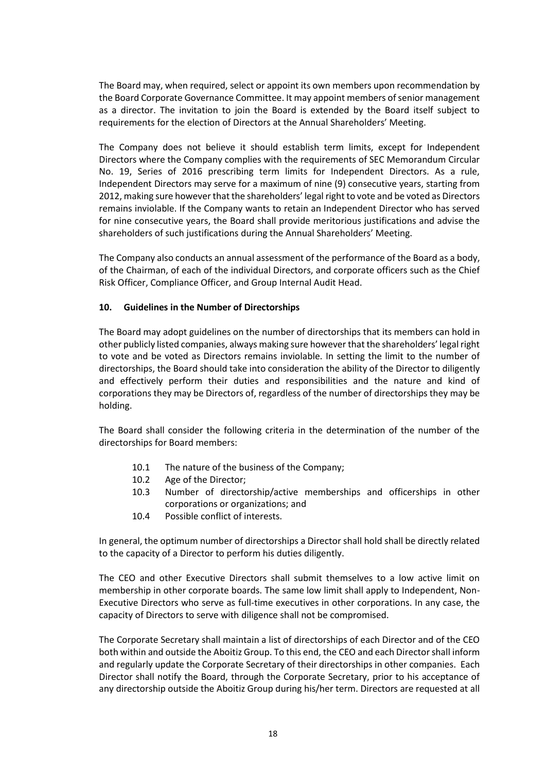The Board may, when required, select or appoint its own members upon recommendation by the Board Corporate Governance Committee. It may appoint members of senior management as a director. The invitation to join the Board is extended by the Board itself subject to requirements for the election of Directors at the Annual Shareholders' Meeting.

The Company does not believe it should establish term limits, except for Independent Directors where the Company complies with the requirements of SEC Memorandum Circular No. 19, Series of 2016 prescribing term limits for Independent Directors. As a rule, Independent Directors may serve for a maximum of nine (9) consecutive years, starting from 2012, making sure however that the shareholders' legal right to vote and be voted as Directors remains inviolable. If the Company wants to retain an Independent Director who has served for nine consecutive years, the Board shall provide meritorious justifications and advise the shareholders of such justifications during the Annual Shareholders' Meeting.

The Company also conducts an annual assessment of the performance of the Board as a body, of the Chairman, of each of the individual Directors, and corporate officers such as the Chief Risk Officer, Compliance Officer, and Group Internal Audit Head.

## **10. Guidelines in the Number of Directorships**

The Board may adopt guidelines on the number of directorships that its members can hold in other publicly listed companies, always making sure however that the shareholders' legal right to vote and be voted as Directors remains inviolable. In setting the limit to the number of directorships, the Board should take into consideration the ability of the Director to diligently and effectively perform their duties and responsibilities and the nature and kind of corporations they may be Directors of, regardless of the number of directorships they may be holding.

The Board shall consider the following criteria in the determination of the number of the directorships for Board members:

- 10.1 The nature of the business of the Company;
- 10.2 Age of the Director;
- 10.3 Number of directorship/active memberships and officerships in other corporations or organizations; and
- 10.4 Possible conflict of interests.

In general, the optimum number of directorships a Director shall hold shall be directly related to the capacity of a Director to perform his duties diligently.

The CEO and other Executive Directors shall submit themselves to a low active limit on membership in other corporate boards. The same low limit shall apply to Independent, Non-Executive Directors who serve as full-time executives in other corporations. In any case, the capacity of Directors to serve with diligence shall not be compromised.

The Corporate Secretary shall maintain a list of directorships of each Director and of the CEO both within and outside the Aboitiz Group. To this end, the CEO and each Director shall inform and regularly update the Corporate Secretary of their directorships in other companies. Each Director shall notify the Board, through the Corporate Secretary, prior to his acceptance of any directorship outside the Aboitiz Group during his/her term. Directors are requested at all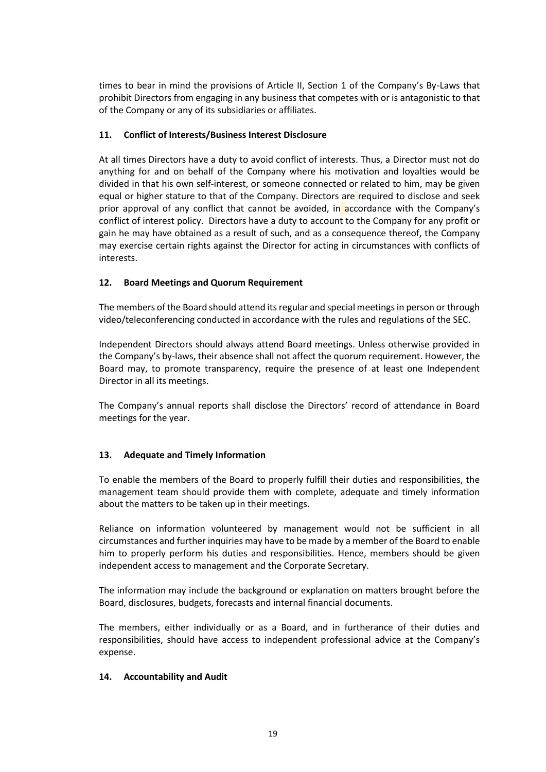times to bear in mind the provisions of Article II, Section 1 of the Company's By-Laws that prohibit Directors from engaging in any business that competes with or is antagonistic to that of the Company or any of its subsidiaries or affiliates.

## **11. Conflict of Interests/Business Interest Disclosure**

At all times Directors have a duty to avoid conflict of interests. Thus, a Director must not do anything for and on behalf of the Company where his motivation and loyalties would be divided in that his own self-interest, or someone connected or related to him, may be given equal or higher stature to that of the Company. Directors are required to disclose and seek prior approval of any conflict that cannot be avoided, in accordance with the Company's conflict of interest policy. Directors have a duty to account to the Company for any profit or gain he may have obtained as a result of such, and as a consequence thereof, the Company may exercise certain rights against the Director for acting in circumstances with conflicts of interests.

# **12. Board Meetings and Quorum Requirement**

The members of the Board should attend its regular and special meetings in person or through video/teleconferencing conducted in accordance with the rules and regulations of the SEC.

Independent Directors should always attend Board meetings. Unless otherwise provided in the Company's by-laws, their absence shall not affect the quorum requirement. However, the Board may, to promote transparency, require the presence of at least one Independent Director in all its meetings.

The Company's annual reports shall disclose the Directors' record of attendance in Board meetings for the year.

# **13. Adequate and Timely Information**

To enable the members of the Board to properly fulfill their duties and responsibilities, the management team should provide them with complete, adequate and timely information about the matters to be taken up in their meetings.

Reliance on information volunteered by management would not be sufficient in all circumstances and further inquiries may have to be made by a member of the Board to enable him to properly perform his duties and responsibilities. Hence, members should be given independent access to management and the Corporate Secretary.

The information may include the background or explanation on matters brought before the Board, disclosures, budgets, forecasts and internal financial documents.

The members, either individually or as a Board, and in furtherance of their duties and responsibilities, should have access to independent professional advice at the Company's expense.

## **14. Accountability and Audit**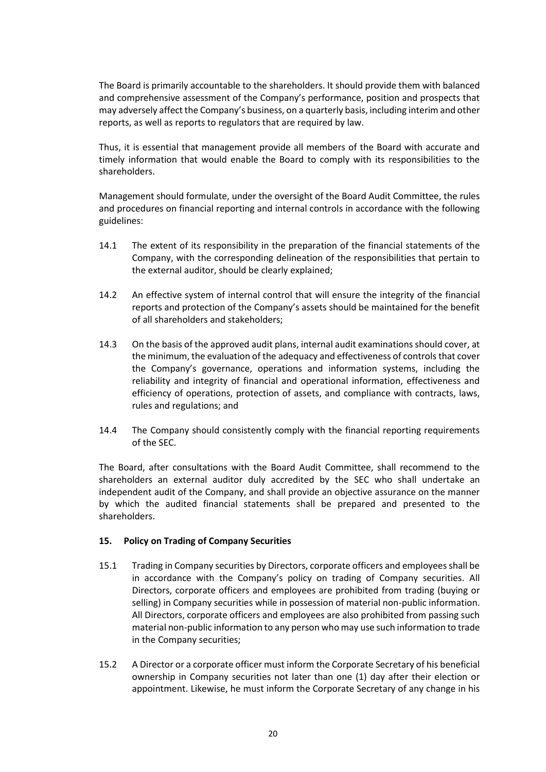The Board is primarily accountable to the shareholders. It should provide them with balanced and comprehensive assessment of the Company's performance, position and prospects that may adversely affect the Company's business, on a quarterly basis, including interim and other reports, as well as reports to regulators that are required by law.

Thus, it is essential that management provide all members of the Board with accurate and timely information that would enable the Board to comply with its responsibilities to the shareholders.

Management should formulate, under the oversight of the Board Audit Committee, the rules and procedures on financial reporting and internal controls in accordance with the following guidelines:

- 14.1 The extent of its responsibility in the preparation of the financial statements of the Company, with the corresponding delineation of the responsibilities that pertain to the external auditor, should be clearly explained;
- 14.2 An effective system of internal control that will ensure the integrity of the financial reports and protection of the Company's assets should be maintained for the benefit of all shareholders and stakeholders;
- 14.3 On the basis of the approved audit plans, internal audit examinations should cover, at the minimum, the evaluation of the adequacy and effectiveness of controls that cover the Company's governance, operations and information systems, including the reliability and integrity of financial and operational information, effectiveness and efficiency of operations, protection of assets, and compliance with contracts, laws, rules and regulations; and
- 14.4 The Company should consistently comply with the financial reporting requirements of the SEC.

The Board, after consultations with the Board Audit Committee, shall recommend to the shareholders an external auditor duly accredited by the SEC who shall undertake an independent audit of the Company, and shall provide an objective assurance on the manner by which the audited financial statements shall be prepared and presented to the shareholders.

## **15. Policy on Trading of Company Securities**

- 15.1 Trading in Company securities by Directors, corporate officers and employees shall be in accordance with the Company's policy on trading of Company securities. All Directors, corporate officers and employees are prohibited from trading (buying or selling) in Company securities while in possession of material non-public information. All Directors, corporate officers and employees are also prohibited from passing such material non-public information to any person who may use such information to trade in the Company securities;
- 15.2 A Director or a corporate officer must inform the Corporate Secretary of his beneficial ownership in Company securities not later than one (1) day after their election or appointment. Likewise, he must inform the Corporate Secretary of any change in his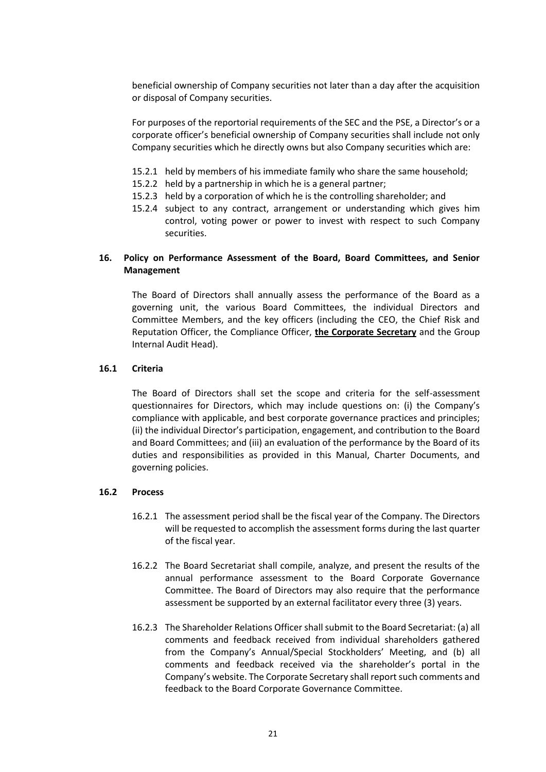beneficial ownership of Company securities not later than a day after the acquisition or disposal of Company securities.

For purposes of the reportorial requirements of the SEC and the PSE, a Director's or a corporate officer's beneficial ownership of Company securities shall include not only Company securities which he directly owns but also Company securities which are:

- 15.2.1 held by members of his immediate family who share the same household;
- 15.2.2 held by a partnership in which he is a general partner;
- 15.2.3 held by a corporation of which he is the controlling shareholder; and
- 15.2.4 subject to any contract, arrangement or understanding which gives him control, voting power or power to invest with respect to such Company securities.

## **16. Policy on Performance Assessment of the Board, Board Committees, and Senior Management**

The Board of Directors shall annually assess the performance of the Board as a governing unit, the various Board Committees, the individual Directors and Committee Members, and the key officers (including the CEO, the Chief Risk and Reputation Officer, the Compliance Officer, **the Corporate Secretary** and the Group Internal Audit Head).

## **16.1 Criteria**

The Board of Directors shall set the scope and criteria for the self-assessment questionnaires for Directors, which may include questions on: (i) the Company's compliance with applicable, and best corporate governance practices and principles; (ii) the individual Director's participation, engagement, and contribution to the Board and Board Committees; and (iii) an evaluation of the performance by the Board of its duties and responsibilities as provided in this Manual, Charter Documents, and governing policies.

#### **16.2 Process**

- 16.2.1 The assessment period shall be the fiscal year of the Company. The Directors will be requested to accomplish the assessment forms during the last quarter of the fiscal year.
- 16.2.2 The Board Secretariat shall compile, analyze, and present the results of the annual performance assessment to the Board Corporate Governance Committee. The Board of Directors may also require that the performance assessment be supported by an external facilitator every three (3) years.
- 16.2.3 The Shareholder Relations Officer shall submit to the Board Secretariat: (a) all comments and feedback received from individual shareholders gathered from the Company's Annual/Special Stockholders' Meeting, and (b) all comments and feedback received via the shareholder's portal in the Company's website. The Corporate Secretary shall report such comments and feedback to the Board Corporate Governance Committee.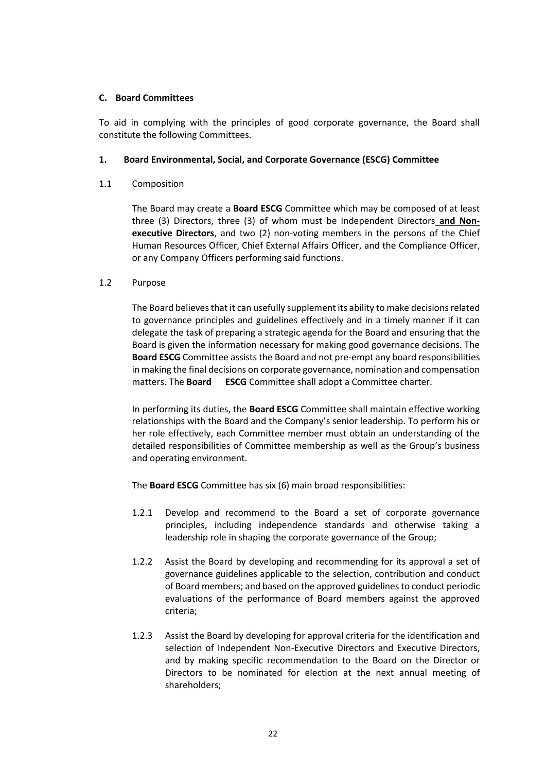## **C. Board Committees**

To aid in complying with the principles of good corporate governance, the Board shall constitute the following Committees.

## **1. Board Environmental, Social, and Corporate Governance (ESCG) Committee**

1.1 Composition

The Board may create a **Board ESCG** Committee which may be composed of at least three (3) Directors, three (3) of whom must be Independent Directors **and Nonexecutive Directors**, and two (2) non-voting members in the persons of the Chief Human Resources Officer, Chief External Affairs Officer, and the Compliance Officer, or any Company Officers performing said functions.

## 1.2 Purpose

The Board believes that it can usefully supplement its ability to make decisions related to governance principles and guidelines effectively and in a timely manner if it can delegate the task of preparing a strategic agenda for the Board and ensuring that the Board is given the information necessary for making good governance decisions. The **Board ESCG** Committee assists the Board and not pre-empt any board responsibilities in making the final decisions on corporate governance, nomination and compensation matters. The **Board ESCG** Committee shall adopt a Committee charter.

In performing its duties, the **Board ESCG** Committee shall maintain effective working relationships with the Board and the Company's senior leadership. To perform his or her role effectively, each Committee member must obtain an understanding of the detailed responsibilities of Committee membership as well as the Group's business and operating environment.

The **Board ESCG** Committee has six (6) main broad responsibilities:

- 1.2.1 Develop and recommend to the Board a set of corporate governance principles, including independence standards and otherwise taking a leadership role in shaping the corporate governance of the Group;
- 1.2.2 Assist the Board by developing and recommending for its approval a set of governance guidelines applicable to the selection, contribution and conduct of Board members; and based on the approved guidelines to conduct periodic evaluations of the performance of Board members against the approved criteria;
- 1.2.3 Assist the Board by developing for approval criteria for the identification and selection of Independent Non-Executive Directors and Executive Directors, and by making specific recommendation to the Board on the Director or Directors to be nominated for election at the next annual meeting of shareholders;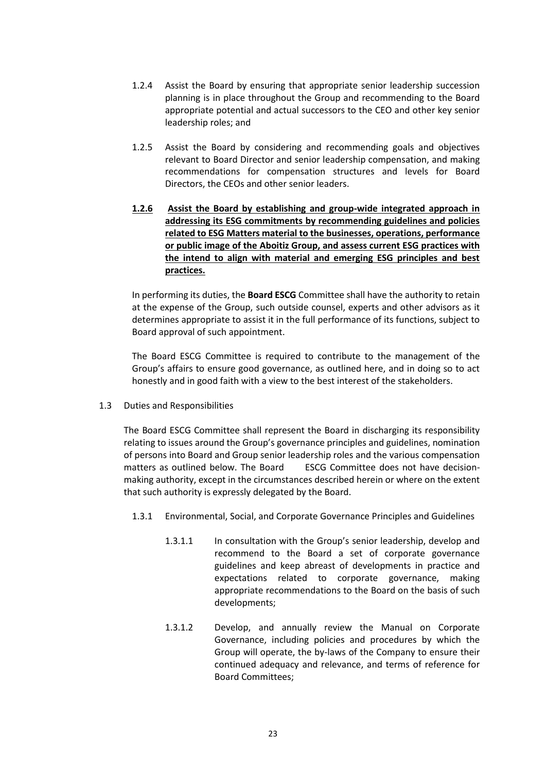- 1.2.4 Assist the Board by ensuring that appropriate senior leadership succession planning is in place throughout the Group and recommending to the Board appropriate potential and actual successors to the CEO and other key senior leadership roles; and
- 1.2.5 Assist the Board by considering and recommending goals and objectives relevant to Board Director and senior leadership compensation, and making recommendations for compensation structures and levels for Board Directors, the CEOs and other senior leaders.
- **1.2.6 Assist the Board by establishing and group-wide integrated approach in addressing its ESG commitments by recommending guidelines and policies related to ESG Matters material to the businesses, operations, performance or public image of the Aboitiz Group, and assess current ESG practices with the intend to align with material and emerging ESG principles and best practices.**

In performing its duties, the **Board ESCG** Committee shall have the authority to retain at the expense of the Group, such outside counsel, experts and other advisors as it determines appropriate to assist it in the full performance of its functions, subject to Board approval of such appointment.

The Board ESCG Committee is required to contribute to the management of the Group's affairs to ensure good governance, as outlined here, and in doing so to act honestly and in good faith with a view to the best interest of the stakeholders.

1.3 Duties and Responsibilities

The Board ESCG Committee shall represent the Board in discharging its responsibility relating to issues around the Group's governance principles and guidelines, nomination of persons into Board and Group senior leadership roles and the various compensation matters as outlined below. The Board ESCG Committee does not have decisionmaking authority, except in the circumstances described herein or where on the extent that such authority is expressly delegated by the Board.

- 1.3.1 Environmental, Social, and Corporate Governance Principles and Guidelines
	- 1.3.1.1 In consultation with the Group's senior leadership, develop and recommend to the Board a set of corporate governance guidelines and keep abreast of developments in practice and expectations related to corporate governance, making appropriate recommendations to the Board on the basis of such developments;
	- 1.3.1.2 Develop, and annually review the Manual on Corporate Governance, including policies and procedures by which the Group will operate, the by-laws of the Company to ensure their continued adequacy and relevance, and terms of reference for Board Committees;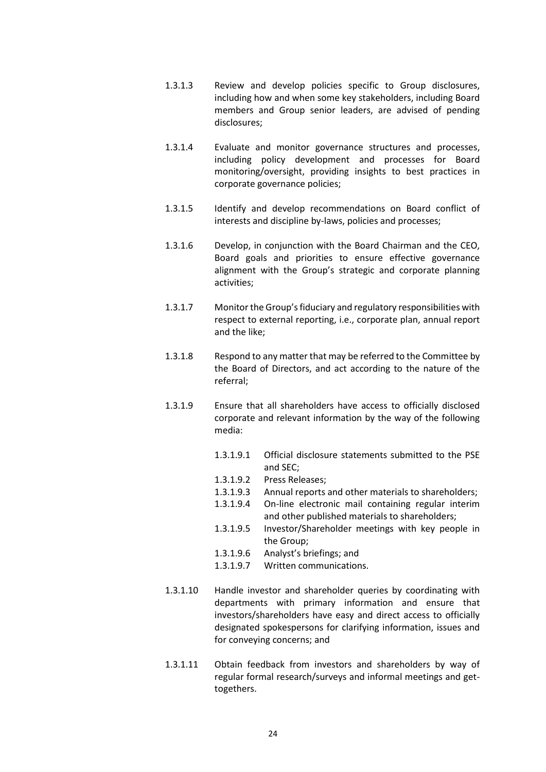- 1.3.1.3 Review and develop policies specific to Group disclosures, including how and when some key stakeholders, including Board members and Group senior leaders, are advised of pending disclosures;
- 1.3.1.4 Evaluate and monitor governance structures and processes, including policy development and processes for Board monitoring/oversight, providing insights to best practices in corporate governance policies;
- 1.3.1.5 Identify and develop recommendations on Board conflict of interests and discipline by-laws, policies and processes;
- 1.3.1.6 Develop, in conjunction with the Board Chairman and the CEO, Board goals and priorities to ensure effective governance alignment with the Group's strategic and corporate planning activities;
- 1.3.1.7 Monitor the Group's fiduciary and regulatory responsibilities with respect to external reporting, i.e., corporate plan, annual report and the like;
- 1.3.1.8 Respond to any matter that may be referred to the Committee by the Board of Directors, and act according to the nature of the referral;
- 1.3.1.9 Ensure that all shareholders have access to officially disclosed corporate and relevant information by the way of the following media:
	- 1.3.1.9.1 Official disclosure statements submitted to the PSE and SEC;
	- 1.3.1.9.2 Press Releases;
	- 1.3.1.9.3 Annual reports and other materials to shareholders;
	- 1.3.1.9.4 On-line electronic mail containing regular interim and other published materials to shareholders;
	- 1.3.1.9.5 Investor/Shareholder meetings with key people in the Group;
	- 1.3.1.9.6 Analyst's briefings; and
	- 1.3.1.9.7 Written communications.
- 1.3.1.10 Handle investor and shareholder queries by coordinating with departments with primary information and ensure that investors/shareholders have easy and direct access to officially designated spokespersons for clarifying information, issues and for conveying concerns; and
- 1.3.1.11 Obtain feedback from investors and shareholders by way of regular formal research/surveys and informal meetings and gettogethers.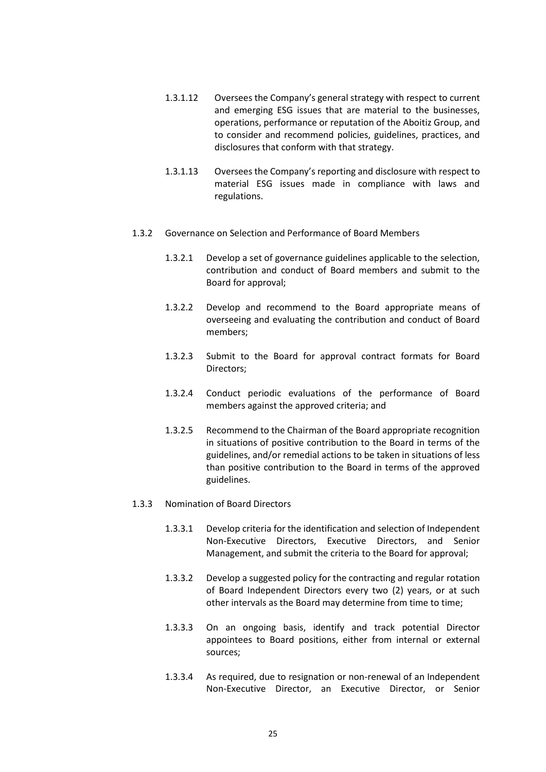- 1.3.1.12 Oversees the Company's general strategy with respect to current and emerging ESG issues that are material to the businesses, operations, performance or reputation of the Aboitiz Group, and to consider and recommend policies, guidelines, practices, and disclosures that conform with that strategy.
- 1.3.1.13 Oversees the Company's reporting and disclosure with respect to material ESG issues made in compliance with laws and regulations.
- 1.3.2 Governance on Selection and Performance of Board Members
	- 1.3.2.1 Develop a set of governance guidelines applicable to the selection, contribution and conduct of Board members and submit to the Board for approval;
	- 1.3.2.2 Develop and recommend to the Board appropriate means of overseeing and evaluating the contribution and conduct of Board members;
	- 1.3.2.3 Submit to the Board for approval contract formats for Board Directors;
	- 1.3.2.4 Conduct periodic evaluations of the performance of Board members against the approved criteria; and
	- 1.3.2.5 Recommend to the Chairman of the Board appropriate recognition in situations of positive contribution to the Board in terms of the guidelines, and/or remedial actions to be taken in situations of less than positive contribution to the Board in terms of the approved guidelines.
- 1.3.3 Nomination of Board Directors
	- 1.3.3.1 Develop criteria for the identification and selection of Independent Non-Executive Directors, Executive Directors, and Senior Management, and submit the criteria to the Board for approval;
	- 1.3.3.2 Develop a suggested policy for the contracting and regular rotation of Board Independent Directors every two (2) years, or at such other intervals as the Board may determine from time to time;
	- 1.3.3.3 On an ongoing basis, identify and track potential Director appointees to Board positions, either from internal or external sources;
	- 1.3.3.4 As required, due to resignation or non-renewal of an Independent Non-Executive Director, an Executive Director, or Senior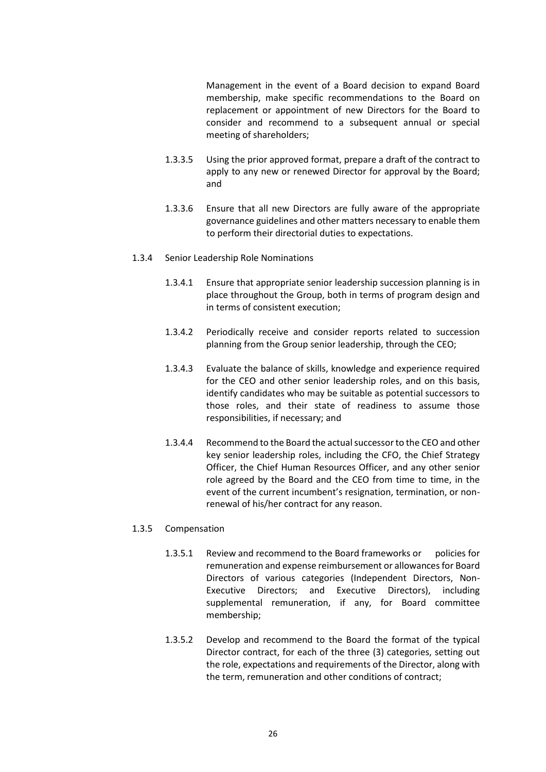Management in the event of a Board decision to expand Board membership, make specific recommendations to the Board on replacement or appointment of new Directors for the Board to consider and recommend to a subsequent annual or special meeting of shareholders;

- 1.3.3.5 Using the prior approved format, prepare a draft of the contract to apply to any new or renewed Director for approval by the Board; and
- 1.3.3.6 Ensure that all new Directors are fully aware of the appropriate governance guidelines and other matters necessary to enable them to perform their directorial duties to expectations.
- 1.3.4 Senior Leadership Role Nominations
	- 1.3.4.1 Ensure that appropriate senior leadership succession planning is in place throughout the Group, both in terms of program design and in terms of consistent execution;
	- 1.3.4.2 Periodically receive and consider reports related to succession planning from the Group senior leadership, through the CEO;
	- 1.3.4.3 Evaluate the balance of skills, knowledge and experience required for the CEO and other senior leadership roles, and on this basis, identify candidates who may be suitable as potential successors to those roles, and their state of readiness to assume those responsibilities, if necessary; and
	- 1.3.4.4 Recommend to the Board the actual successor to the CEO and other key senior leadership roles, including the CFO, the Chief Strategy Officer, the Chief Human Resources Officer, and any other senior role agreed by the Board and the CEO from time to time, in the event of the current incumbent's resignation, termination, or nonrenewal of his/her contract for any reason.

#### 1.3.5 Compensation

- 1.3.5.1 Review and recommend to the Board frameworks or policies for remuneration and expense reimbursement or allowances for Board Directors of various categories (Independent Directors, Non-Executive Directors; and Executive Directors), including supplemental remuneration, if any, for Board committee membership;
- 1.3.5.2 Develop and recommend to the Board the format of the typical Director contract, for each of the three (3) categories, setting out the role, expectations and requirements of the Director, along with the term, remuneration and other conditions of contract;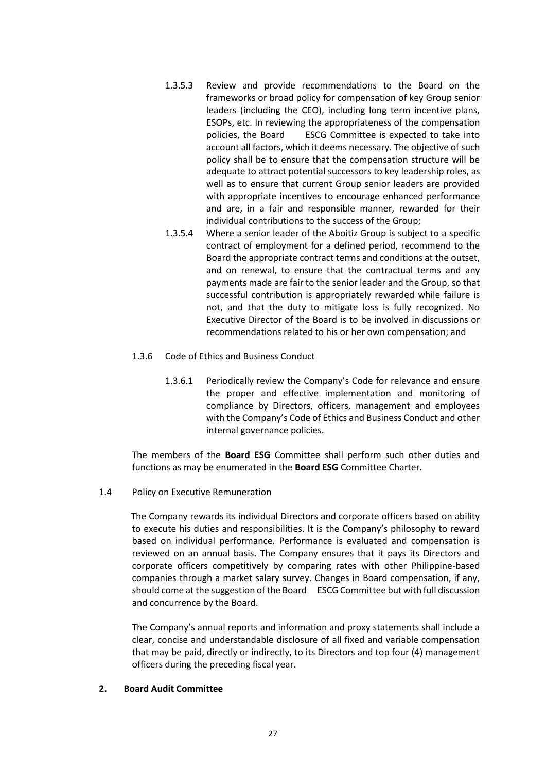- 1.3.5.3 Review and provide recommendations to the Board on the frameworks or broad policy for compensation of key Group senior leaders (including the CEO), including long term incentive plans, ESOPs, etc. In reviewing the appropriateness of the compensation policies, the Board ESCG Committee is expected to take into account all factors, which it deems necessary. The objective of such policy shall be to ensure that the compensation structure will be adequate to attract potential successors to key leadership roles, as well as to ensure that current Group senior leaders are provided with appropriate incentives to encourage enhanced performance and are, in a fair and responsible manner, rewarded for their individual contributions to the success of the Group;
- 1.3.5.4 Where a senior leader of the Aboitiz Group is subject to a specific contract of employment for a defined period, recommend to the Board the appropriate contract terms and conditions at the outset, and on renewal, to ensure that the contractual terms and any payments made are fair to the senior leader and the Group, so that successful contribution is appropriately rewarded while failure is not, and that the duty to mitigate loss is fully recognized. No Executive Director of the Board is to be involved in discussions or recommendations related to his or her own compensation; and
- 1.3.6 Code of Ethics and Business Conduct
	- 1.3.6.1 Periodically review the Company's Code for relevance and ensure the proper and effective implementation and monitoring of compliance by Directors, officers, management and employees with the Company's Code of Ethics and Business Conduct and other internal governance policies.

The members of the **Board ESG** Committee shall perform such other duties and functions as may be enumerated in the **Board ESG** Committee Charter.

1.4 Policy on Executive Remuneration

The Company rewards its individual Directors and corporate officers based on ability to execute his duties and responsibilities. It is the Company's philosophy to reward based on individual performance. Performance is evaluated and compensation is reviewed on an annual basis. The Company ensures that it pays its Directors and corporate officers competitively by comparing rates with other Philippine-based companies through a market salary survey. Changes in Board compensation, if any, should come at the suggestion of the Board ESCG Committee but with full discussion and concurrence by the Board.

The Company's annual reports and information and proxy statements shall include a clear, concise and understandable disclosure of all fixed and variable compensation that may be paid, directly or indirectly, to its Directors and top four (4) management officers during the preceding fiscal year.

## **2. Board Audit Committee**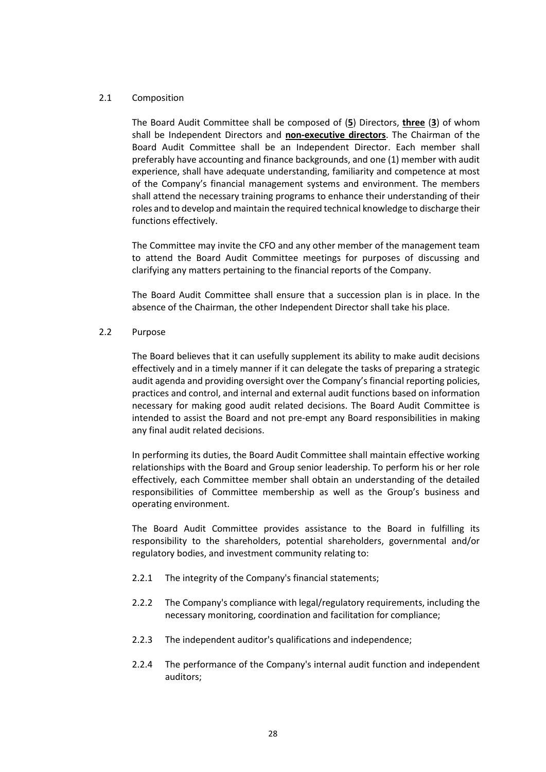## 2.1 Composition

The Board Audit Committee shall be composed of (**5**) Directors, **three** (**3**) of whom shall be Independent Directors and **non-executive directors**. The Chairman of the Board Audit Committee shall be an Independent Director. Each member shall preferably have accounting and finance backgrounds, and one (1) member with audit experience, shall have adequate understanding, familiarity and competence at most of the Company's financial management systems and environment. The members shall attend the necessary training programs to enhance their understanding of their roles and to develop and maintain the required technical knowledge to discharge their functions effectively.

The Committee may invite the CFO and any other member of the management team to attend the Board Audit Committee meetings for purposes of discussing and clarifying any matters pertaining to the financial reports of the Company.

The Board Audit Committee shall ensure that a succession plan is in place. In the absence of the Chairman, the other Independent Director shall take his place.

#### 2.2 Purpose

The Board believes that it can usefully supplement its ability to make audit decisions effectively and in a timely manner if it can delegate the tasks of preparing a strategic audit agenda and providing oversight over the Company's financial reporting policies, practices and control, and internal and external audit functions based on information necessary for making good audit related decisions. The Board Audit Committee is intended to assist the Board and not pre-empt any Board responsibilities in making any final audit related decisions.

In performing its duties, the Board Audit Committee shall maintain effective working relationships with the Board and Group senior leadership. To perform his or her role effectively, each Committee member shall obtain an understanding of the detailed responsibilities of Committee membership as well as the Group's business and operating environment.

The Board Audit Committee provides assistance to the Board in fulfilling its responsibility to the shareholders, potential shareholders, governmental and/or regulatory bodies, and investment community relating to:

- 2.2.1 The integrity of the Company's financial statements;
- 2.2.2 The Company's compliance with legal/regulatory requirements, including the necessary monitoring, coordination and facilitation for compliance;
- 2.2.3 The independent auditor's qualifications and independence;
- 2.2.4 The performance of the Company's internal audit function and independent auditors;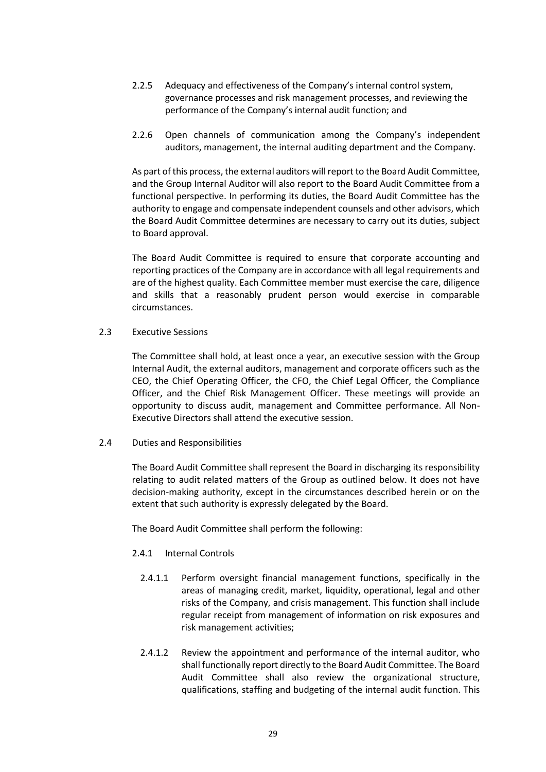- 2.2.5 Adequacy and effectiveness of the Company's internal control system, governance processes and risk management processes, and reviewing the performance of the Company's internal audit function; and
- 2.2.6 Open channels of communication among the Company's independent auditors, management, the internal auditing department and the Company.

As part of this process, the external auditors will report to the Board Audit Committee, and the Group Internal Auditor will also report to the Board Audit Committee from a functional perspective. In performing its duties, the Board Audit Committee has the authority to engage and compensate independent counsels and other advisors, which the Board Audit Committee determines are necessary to carry out its duties, subject to Board approval.

The Board Audit Committee is required to ensure that corporate accounting and reporting practices of the Company are in accordance with all legal requirements and are of the highest quality. Each Committee member must exercise the care, diligence and skills that a reasonably prudent person would exercise in comparable circumstances.

2.3 Executive Sessions

The Committee shall hold, at least once a year, an executive session with the Group Internal Audit, the external auditors, management and corporate officers such as the CEO, the Chief Operating Officer, the CFO, the Chief Legal Officer, the Compliance Officer, and the Chief Risk Management Officer. These meetings will provide an opportunity to discuss audit, management and Committee performance. All Non-Executive Directors shall attend the executive session.

2.4 Duties and Responsibilities

The Board Audit Committee shall represent the Board in discharging its responsibility relating to audit related matters of the Group as outlined below. It does not have decision-making authority, except in the circumstances described herein or on the extent that such authority is expressly delegated by the Board.

The Board Audit Committee shall perform the following:

## 2.4.1 Internal Controls

- 2.4.1.1 Perform oversight financial management functions, specifically in the areas of managing credit, market, liquidity, operational, legal and other risks of the Company, and crisis management. This function shall include regular receipt from management of information on risk exposures and risk management activities;
- 2.4.1.2 Review the appointment and performance of the internal auditor, who shall functionally report directly to the Board Audit Committee. The Board Audit Committee shall also review the organizational structure, qualifications, staffing and budgeting of the internal audit function. This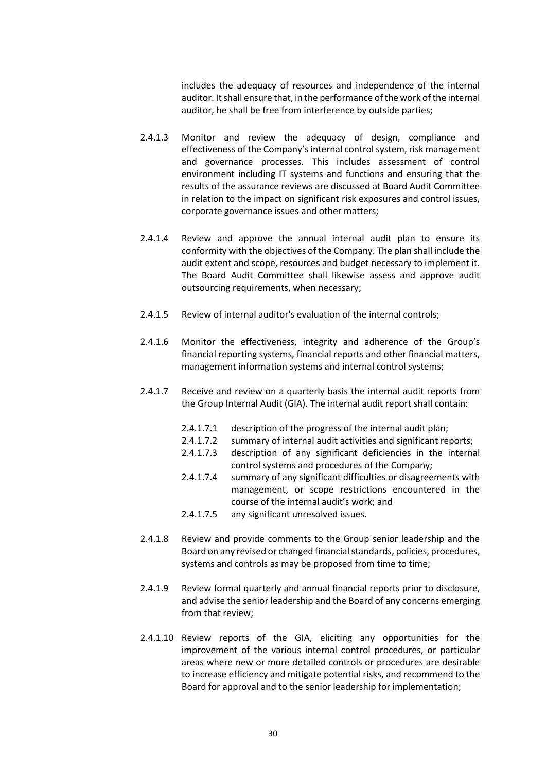includes the adequacy of resources and independence of the internal auditor. It shall ensure that, in the performance of the work of the internal auditor, he shall be free from interference by outside parties;

- 2.4.1.3 Monitor and review the adequacy of design, compliance and effectiveness of the Company's internal control system, risk management and governance processes. This includes assessment of control environment including IT systems and functions and ensuring that the results of the assurance reviews are discussed at Board Audit Committee in relation to the impact on significant risk exposures and control issues, corporate governance issues and other matters;
- 2.4.1.4 Review and approve the annual internal audit plan to ensure its conformity with the objectives of the Company. The plan shall include the audit extent and scope, resources and budget necessary to implement it. The Board Audit Committee shall likewise assess and approve audit outsourcing requirements, when necessary;
- 2.4.1.5 Review of internal auditor's evaluation of the internal controls;
- 2.4.1.6 Monitor the effectiveness, integrity and adherence of the Group's financial reporting systems, financial reports and other financial matters, management information systems and internal control systems;
- 2.4.1.7 Receive and review on a quarterly basis the internal audit reports from the Group Internal Audit (GIA). The internal audit report shall contain:
	- 2.4.1.7.1 description of the progress of the internal audit plan;
	- 2.4.1.7.2 summary of internal audit activities and significant reports;
	- 2.4.1.7.3 description of any significant deficiencies in the internal control systems and procedures of the Company;
	- 2.4.1.7.4 summary of any significant difficulties or disagreements with management, or scope restrictions encountered in the course of the internal audit's work; and
	- 2.4.1.7.5 any significant unresolved issues.
- 2.4.1.8 Review and provide comments to the Group senior leadership and the Board on any revised or changed financial standards, policies, procedures, systems and controls as may be proposed from time to time;
- 2.4.1.9 Review formal quarterly and annual financial reports prior to disclosure, and advise the senior leadership and the Board of any concerns emerging from that review;
- 2.4.1.10 Review reports of the GIA, eliciting any opportunities for the improvement of the various internal control procedures, or particular areas where new or more detailed controls or procedures are desirable to increase efficiency and mitigate potential risks, and recommend to the Board for approval and to the senior leadership for implementation;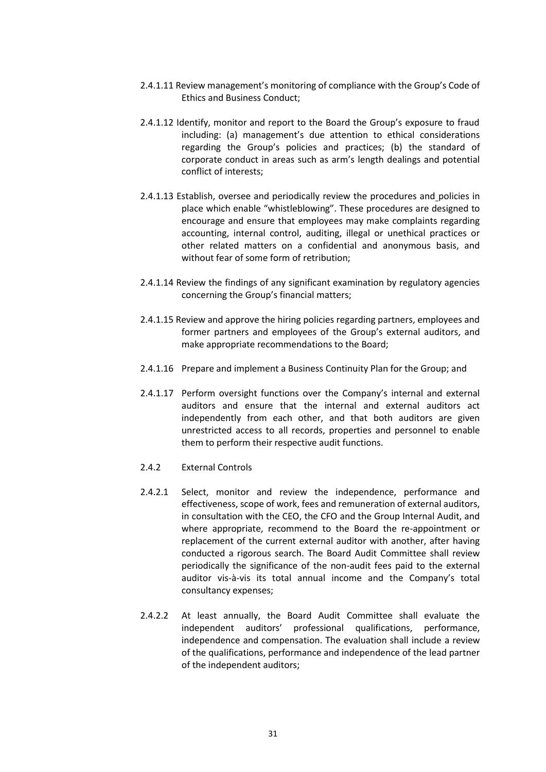- 2.4.1.11 Review management's monitoring of compliance with the Group's Code of Ethics and Business Conduct;
- 2.4.1.12 Identify, monitor and report to the Board the Group's exposure to fraud including: (a) management's due attention to ethical considerations regarding the Group's policies and practices; (b) the standard of corporate conduct in areas such as arm's length dealings and potential conflict of interests;
- 2.4.1.13 Establish, oversee and periodically review the procedures and policies in place which enable "whistleblowing". These procedures are designed to encourage and ensure that employees may make complaints regarding accounting, internal control, auditing, illegal or unethical practices or other related matters on a confidential and anonymous basis, and without fear of some form of retribution;
- 2.4.1.14 Review the findings of any significant examination by regulatory agencies concerning the Group's financial matters;
- 2.4.1.15 Review and approve the hiring policies regarding partners, employees and former partners and employees of the Group's external auditors, and make appropriate recommendations to the Board;
- 2.4.1.16 Prepare and implement a Business Continuity Plan for the Group; and
- 2.4.1.17 Perform oversight functions over the Company's internal and external auditors and ensure that the internal and external auditors act independently from each other, and that both auditors are given unrestricted access to all records, properties and personnel to enable them to perform their respective audit functions.
- 2.4.2 External Controls
- 2.4.2.1 Select, monitor and review the independence, performance and effectiveness, scope of work, fees and remuneration of external auditors, in consultation with the CEO, the CFO and the Group Internal Audit, and where appropriate, recommend to the Board the re-appointment or replacement of the current external auditor with another, after having conducted a rigorous search. The Board Audit Committee shall review periodically the significance of the non-audit fees paid to the external auditor vis-à-vis its total annual income and the Company's total consultancy expenses;
- 2.4.2.2 At least annually, the Board Audit Committee shall evaluate the independent auditors' professional qualifications, performance, independence and compensation. The evaluation shall include a review of the qualifications, performance and independence of the lead partner of the independent auditors;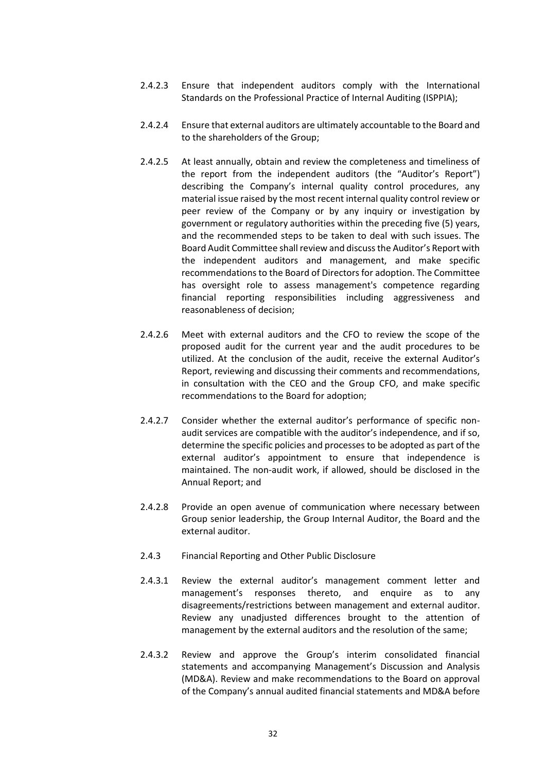- 2.4.2.3 Ensure that independent auditors comply with the International Standards on the Professional Practice of Internal Auditing (ISPPIA);
- 2.4.2.4 Ensure that external auditors are ultimately accountable to the Board and to the shareholders of the Group;
- 2.4.2.5 At least annually, obtain and review the completeness and timeliness of the report from the independent auditors (the "Auditor's Report") describing the Company's internal quality control procedures, any material issue raised by the most recent internal quality control review or peer review of the Company or by any inquiry or investigation by government or regulatory authorities within the preceding five (5) years, and the recommended steps to be taken to deal with such issues. The Board Audit Committee shall review and discuss the Auditor's Report with the independent auditors and management, and make specific recommendations to the Board of Directors for adoption. The Committee has oversight role to assess management's competence regarding financial reporting responsibilities including aggressiveness and reasonableness of decision;
- 2.4.2.6 Meet with external auditors and the CFO to review the scope of the proposed audit for the current year and the audit procedures to be utilized. At the conclusion of the audit, receive the external Auditor's Report, reviewing and discussing their comments and recommendations, in consultation with the CEO and the Group CFO, and make specific recommendations to the Board for adoption;
- 2.4.2.7 Consider whether the external auditor's performance of specific nonaudit services are compatible with the auditor's independence, and if so, determine the specific policies and processes to be adopted as part of the external auditor's appointment to ensure that independence is maintained. The non-audit work, if allowed, should be disclosed in the Annual Report; and
- 2.4.2.8 Provide an open avenue of communication where necessary between Group senior leadership, the Group Internal Auditor, the Board and the external auditor.
- 2.4.3 Financial Reporting and Other Public Disclosure
- 2.4.3.1 Review the external auditor's management comment letter and management's responses thereto, and enquire as to any disagreements/restrictions between management and external auditor. Review any unadjusted differences brought to the attention of management by the external auditors and the resolution of the same;
- 2.4.3.2 Review and approve the Group's interim consolidated financial statements and accompanying Management's Discussion and Analysis (MD&A). Review and make recommendations to the Board on approval of the Company's annual audited financial statements and MD&A before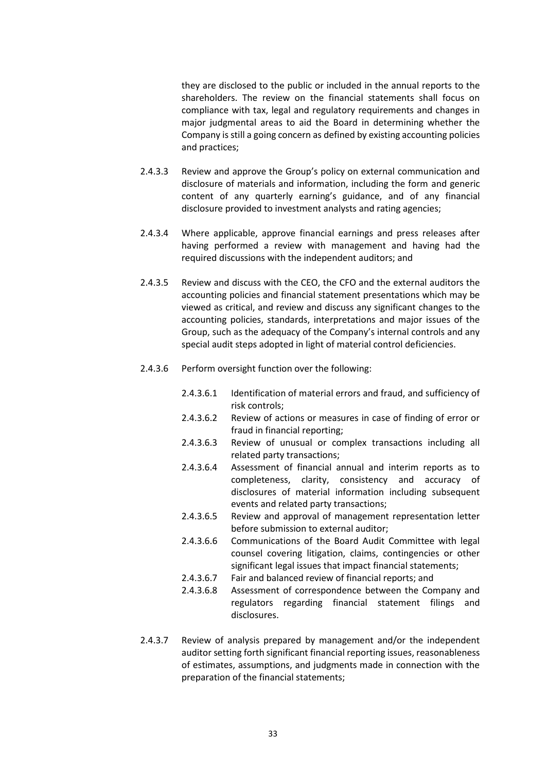they are disclosed to the public or included in the annual reports to the shareholders. The review on the financial statements shall focus on compliance with tax, legal and regulatory requirements and changes in major judgmental areas to aid the Board in determining whether the Company is still a going concern as defined by existing accounting policies and practices;

- 2.4.3.3 Review and approve the Group's policy on external communication and disclosure of materials and information, including the form and generic content of any quarterly earning's guidance, and of any financial disclosure provided to investment analysts and rating agencies;
- 2.4.3.4 Where applicable, approve financial earnings and press releases after having performed a review with management and having had the required discussions with the independent auditors; and
- 2.4.3.5 Review and discuss with the CEO, the CFO and the external auditors the accounting policies and financial statement presentations which may be viewed as critical, and review and discuss any significant changes to the accounting policies, standards, interpretations and major issues of the Group, such as the adequacy of the Company's internal controls and any special audit steps adopted in light of material control deficiencies.
- 2.4.3.6 Perform oversight function over the following:
	- 2.4.3.6.1 Identification of material errors and fraud, and sufficiency of risk controls;
	- 2.4.3.6.2 Review of actions or measures in case of finding of error or fraud in financial reporting;
	- 2.4.3.6.3 Review of unusual or complex transactions including all related party transactions;
	- 2.4.3.6.4 Assessment of financial annual and interim reports as to completeness, clarity, consistency and accuracy of disclosures of material information including subsequent events and related party transactions;
	- 2.4.3.6.5 Review and approval of management representation letter before submission to external auditor;
	- 2.4.3.6.6 Communications of the Board Audit Committee with legal counsel covering litigation, claims, contingencies or other significant legal issues that impact financial statements;
	- 2.4.3.6.7 Fair and balanced review of financial reports; and
	- 2.4.3.6.8 Assessment of correspondence between the Company and regulators regarding financial statement filings and disclosures.
- 2.4.3.7 Review of analysis prepared by management and/or the independent auditor setting forth significant financial reporting issues, reasonableness of estimates, assumptions, and judgments made in connection with the preparation of the financial statements;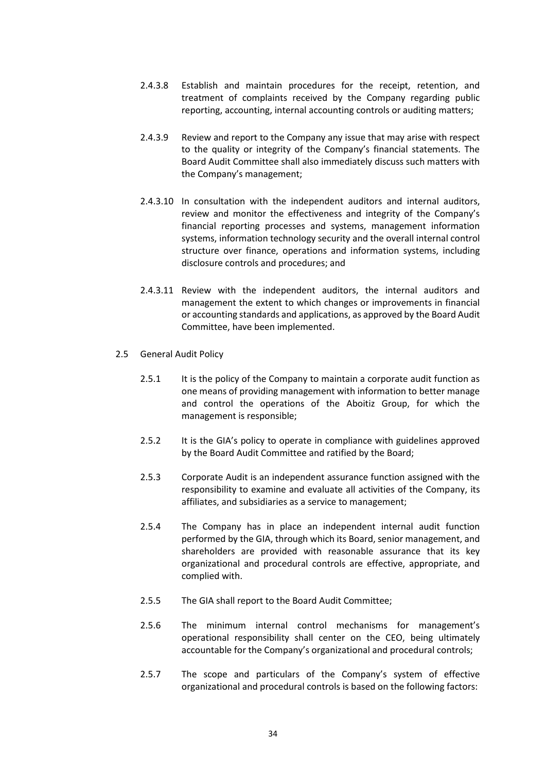- 2.4.3.8 Establish and maintain procedures for the receipt, retention, and treatment of complaints received by the Company regarding public reporting, accounting, internal accounting controls or auditing matters;
- 2.4.3.9 Review and report to the Company any issue that may arise with respect to the quality or integrity of the Company's financial statements. The Board Audit Committee shall also immediately discuss such matters with the Company's management;
- 2.4.3.10 In consultation with the independent auditors and internal auditors, review and monitor the effectiveness and integrity of the Company's financial reporting processes and systems, management information systems, information technology security and the overall internal control structure over finance, operations and information systems, including disclosure controls and procedures; and
- 2.4.3.11 Review with the independent auditors, the internal auditors and management the extent to which changes or improvements in financial or accounting standards and applications, as approved by the Board Audit Committee, have been implemented.
- 2.5 General Audit Policy
	- 2.5.1 It is the policy of the Company to maintain a corporate audit function as one means of providing management with information to better manage and control the operations of the Aboitiz Group, for which the management is responsible;
	- 2.5.2 It is the GIA's policy to operate in compliance with guidelines approved by the Board Audit Committee and ratified by the Board;
	- 2.5.3 Corporate Audit is an independent assurance function assigned with the responsibility to examine and evaluate all activities of the Company, its affiliates, and subsidiaries as a service to management;
	- 2.5.4 The Company has in place an independent internal audit function performed by the GIA, through which its Board, senior management, and shareholders are provided with reasonable assurance that its key organizational and procedural controls are effective, appropriate, and complied with.
	- 2.5.5 The GIA shall report to the Board Audit Committee;
	- 2.5.6 The minimum internal control mechanisms for management's operational responsibility shall center on the CEO, being ultimately accountable for the Company's organizational and procedural controls;
	- 2.5.7 The scope and particulars of the Company's system of effective organizational and procedural controls is based on the following factors: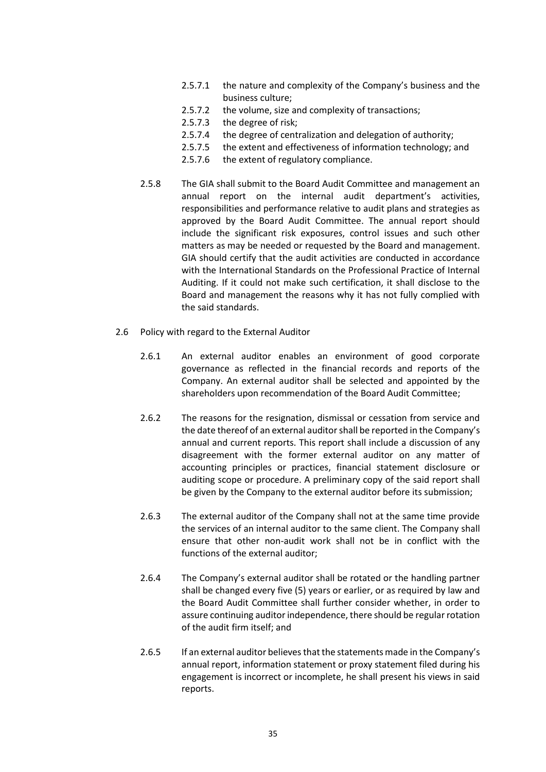- 2.5.7.1 the nature and complexity of the Company's business and the business culture;
- 2.5.7.2 the volume, size and complexity of transactions;
- 2.5.7.3 the degree of risk;
- 2.5.7.4 the degree of centralization and delegation of authority;
- 2.5.7.5 the extent and effectiveness of information technology; and
- 2.5.7.6 the extent of regulatory compliance.
- 2.5.8 The GIA shall submit to the Board Audit Committee and management an annual report on the internal audit department's activities, responsibilities and performance relative to audit plans and strategies as approved by the Board Audit Committee. The annual report should include the significant risk exposures, control issues and such other matters as may be needed or requested by the Board and management. GIA should certify that the audit activities are conducted in accordance with the International Standards on the Professional Practice of Internal Auditing. If it could not make such certification, it shall disclose to the Board and management the reasons why it has not fully complied with the said standards.
- 2.6 Policy with regard to the External Auditor
	- 2.6.1 An external auditor enables an environment of good corporate governance as reflected in the financial records and reports of the Company. An external auditor shall be selected and appointed by the shareholders upon recommendation of the Board Audit Committee;
	- 2.6.2 The reasons for the resignation, dismissal or cessation from service and the date thereof of an external auditor shall be reported in the Company's annual and current reports. This report shall include a discussion of any disagreement with the former external auditor on any matter of accounting principles or practices, financial statement disclosure or auditing scope or procedure. A preliminary copy of the said report shall be given by the Company to the external auditor before its submission;
	- 2.6.3 The external auditor of the Company shall not at the same time provide the services of an internal auditor to the same client. The Company shall ensure that other non-audit work shall not be in conflict with the functions of the external auditor;
	- 2.6.4 The Company's external auditor shall be rotated or the handling partner shall be changed every five (5) years or earlier, or as required by law and the Board Audit Committee shall further consider whether, in order to assure continuing auditor independence, there should be regular rotation of the audit firm itself; and
	- 2.6.5 If an external auditor believes that the statements made in the Company's annual report, information statement or proxy statement filed during his engagement is incorrect or incomplete, he shall present his views in said reports.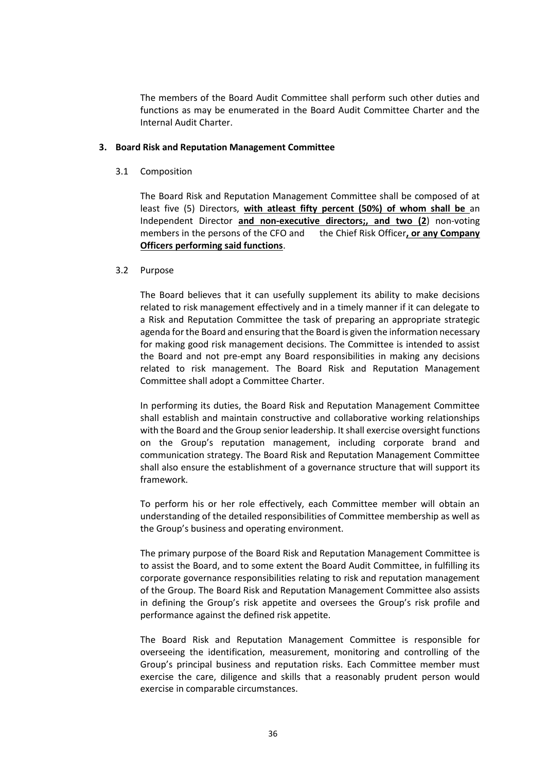The members of the Board Audit Committee shall perform such other duties and functions as may be enumerated in the Board Audit Committee Charter and the Internal Audit Charter.

#### **3. Board Risk and Reputation Management Committee**

3.1 Composition

The Board Risk and Reputation Management Committee shall be composed of at least five (5) Directors, **with atleast fifty percent (50%) of whom shall be** an Independent Director **and non-executive directors;, and two (2**) non-voting members in the persons of the CFO and the Chief Risk Officer**, or any Company Officers performing said functions**.

#### 3.2 Purpose

The Board believes that it can usefully supplement its ability to make decisions related to risk management effectively and in a timely manner if it can delegate to a Risk and Reputation Committee the task of preparing an appropriate strategic agenda for the Board and ensuring that the Board is given the information necessary for making good risk management decisions. The Committee is intended to assist the Board and not pre-empt any Board responsibilities in making any decisions related to risk management. The Board Risk and Reputation Management Committee shall adopt a Committee Charter.

In performing its duties, the Board Risk and Reputation Management Committee shall establish and maintain constructive and collaborative working relationships with the Board and the Group senior leadership. It shall exercise oversight functions on the Group's reputation management, including corporate brand and communication strategy. The Board Risk and Reputation Management Committee shall also ensure the establishment of a governance structure that will support its framework.

To perform his or her role effectively, each Committee member will obtain an understanding of the detailed responsibilities of Committee membership as well as the Group's business and operating environment.

The primary purpose of the Board Risk and Reputation Management Committee is to assist the Board, and to some extent the Board Audit Committee, in fulfilling its corporate governance responsibilities relating to risk and reputation management of the Group. The Board Risk and Reputation Management Committee also assists in defining the Group's risk appetite and oversees the Group's risk profile and performance against the defined risk appetite.

The Board Risk and Reputation Management Committee is responsible for overseeing the identification, measurement, monitoring and controlling of the Group's principal business and reputation risks. Each Committee member must exercise the care, diligence and skills that a reasonably prudent person would exercise in comparable circumstances.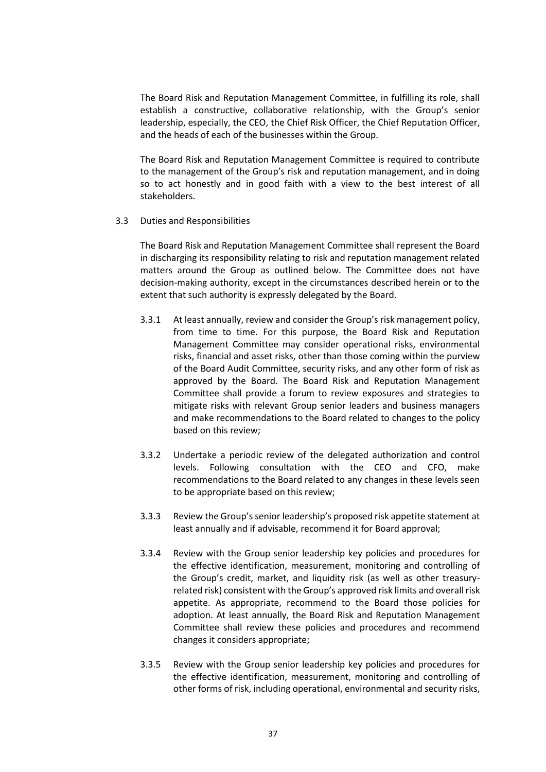The Board Risk and Reputation Management Committee, in fulfilling its role, shall establish a constructive, collaborative relationship, with the Group's senior leadership, especially, the CEO, the Chief Risk Officer, the Chief Reputation Officer, and the heads of each of the businesses within the Group.

The Board Risk and Reputation Management Committee is required to contribute to the management of the Group's risk and reputation management, and in doing so to act honestly and in good faith with a view to the best interest of all stakeholders.

3.3 Duties and Responsibilities

The Board Risk and Reputation Management Committee shall represent the Board in discharging its responsibility relating to risk and reputation management related matters around the Group as outlined below. The Committee does not have decision-making authority, except in the circumstances described herein or to the extent that such authority is expressly delegated by the Board.

- 3.3.1 At least annually, review and consider the Group's risk management policy, from time to time. For this purpose, the Board Risk and Reputation Management Committee may consider operational risks, environmental risks, financial and asset risks, other than those coming within the purview of the Board Audit Committee, security risks, and any other form of risk as approved by the Board. The Board Risk and Reputation Management Committee shall provide a forum to review exposures and strategies to mitigate risks with relevant Group senior leaders and business managers and make recommendations to the Board related to changes to the policy based on this review;
- 3.3.2 Undertake a periodic review of the delegated authorization and control levels. Following consultation with the CEO and CFO, make recommendations to the Board related to any changes in these levels seen to be appropriate based on this review;
- 3.3.3 Review the Group's senior leadership's proposed risk appetite statement at least annually and if advisable, recommend it for Board approval;
- 3.3.4 Review with the Group senior leadership key policies and procedures for the effective identification, measurement, monitoring and controlling of the Group's credit, market, and liquidity risk (as well as other treasuryrelated risk) consistent with the Group's approved risk limits and overall risk appetite. As appropriate, recommend to the Board those policies for adoption. At least annually, the Board Risk and Reputation Management Committee shall review these policies and procedures and recommend changes it considers appropriate;
- 3.3.5 Review with the Group senior leadership key policies and procedures for the effective identification, measurement, monitoring and controlling of other forms of risk, including operational, environmental and security risks,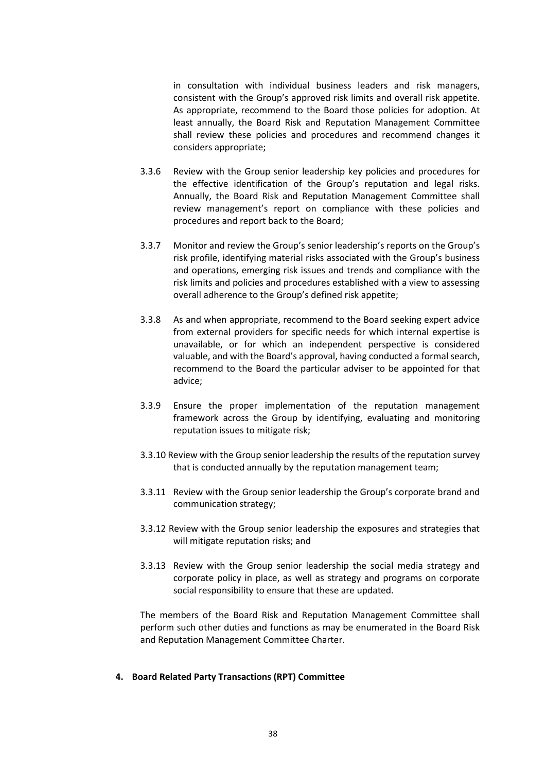in consultation with individual business leaders and risk managers, consistent with the Group's approved risk limits and overall risk appetite. As appropriate, recommend to the Board those policies for adoption. At least annually, the Board Risk and Reputation Management Committee shall review these policies and procedures and recommend changes it considers appropriate;

- 3.3.6 Review with the Group senior leadership key policies and procedures for the effective identification of the Group's reputation and legal risks. Annually, the Board Risk and Reputation Management Committee shall review management's report on compliance with these policies and procedures and report back to the Board;
- 3.3.7 Monitor and review the Group's senior leadership's reports on the Group's risk profile, identifying material risks associated with the Group's business and operations, emerging risk issues and trends and compliance with the risk limits and policies and procedures established with a view to assessing overall adherence to the Group's defined risk appetite;
- 3.3.8 As and when appropriate, recommend to the Board seeking expert advice from external providers for specific needs for which internal expertise is unavailable, or for which an independent perspective is considered valuable, and with the Board's approval, having conducted a formal search, recommend to the Board the particular adviser to be appointed for that advice;
- 3.3.9 Ensure the proper implementation of the reputation management framework across the Group by identifying, evaluating and monitoring reputation issues to mitigate risk;
- 3.3.10 Review with the Group senior leadership the results of the reputation survey that is conducted annually by the reputation management team;
- 3.3.11 Review with the Group senior leadership the Group's corporate brand and communication strategy;
- 3.3.12 Review with the Group senior leadership the exposures and strategies that will mitigate reputation risks; and
- 3.3.13 Review with the Group senior leadership the social media strategy and corporate policy in place, as well as strategy and programs on corporate social responsibility to ensure that these are updated.

The members of the Board Risk and Reputation Management Committee shall perform such other duties and functions as may be enumerated in the Board Risk and Reputation Management Committee Charter.

## **4. Board Related Party Transactions (RPT) Committee**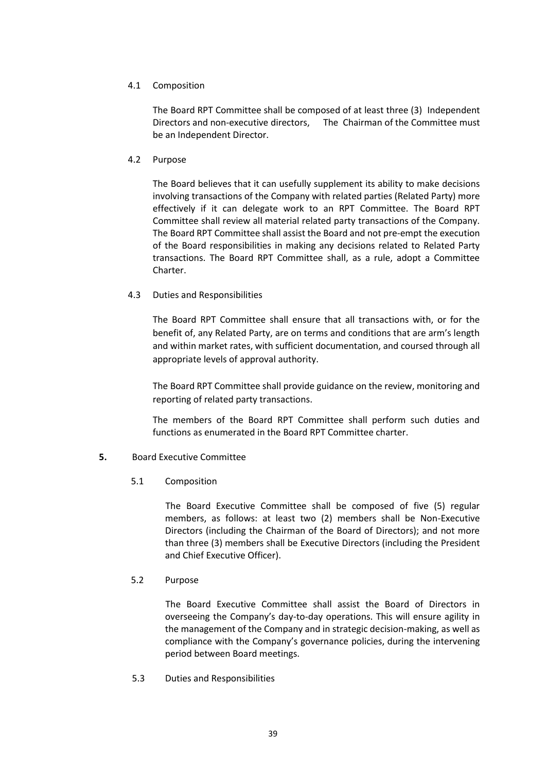## 4.1 Composition

The Board RPT Committee shall be composed of at least three (3) Independent Directors and non-executive directors, The Chairman of the Committee must be an Independent Director.

## 4.2 Purpose

The Board believes that it can usefully supplement its ability to make decisions involving transactions of the Company with related parties (Related Party) more effectively if it can delegate work to an RPT Committee. The Board RPT Committee shall review all material related party transactions of the Company. The Board RPT Committee shall assist the Board and not pre-empt the execution of the Board responsibilities in making any decisions related to Related Party transactions. The Board RPT Committee shall, as a rule, adopt a Committee Charter.

# 4.3 Duties and Responsibilities

The Board RPT Committee shall ensure that all transactions with, or for the benefit of, any Related Party, are on terms and conditions that are arm's length and within market rates, with sufficient documentation, and coursed through all appropriate levels of approval authority.

The Board RPT Committee shall provide guidance on the review, monitoring and reporting of related party transactions.

The members of the Board RPT Committee shall perform such duties and functions as enumerated in the Board RPT Committee charter.

# **5.** Board Executive Committee

## 5.1 Composition

The Board Executive Committee shall be composed of five (5) regular members, as follows: at least two (2) members shall be Non-Executive Directors (including the Chairman of the Board of Directors); and not more than three (3) members shall be Executive Directors (including the President and Chief Executive Officer).

## 5.2 Purpose

The Board Executive Committee shall assist the Board of Directors in overseeing the Company's day-to-day operations. This will ensure agility in the management of the Company and in strategic decision-making, as well as compliance with the Company's governance policies, during the intervening period between Board meetings.

5.3 Duties and Responsibilities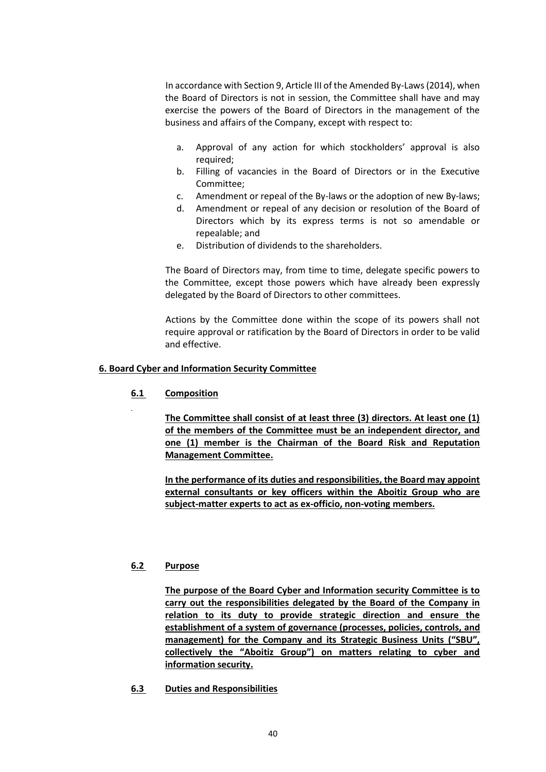In accordance with Section 9, Article III of the Amended By-Laws (2014), when the Board of Directors is not in session, the Committee shall have and may exercise the powers of the Board of Directors in the management of the business and affairs of the Company, except with respect to:

- a. Approval of any action for which stockholders' approval is also required;
- b. Filling of vacancies in the Board of Directors or in the Executive Committee;
- c. Amendment or repeal of the By-laws or the adoption of new By-laws;
- d. Amendment or repeal of any decision or resolution of the Board of Directors which by its express terms is not so amendable or repealable; and
- e. Distribution of dividends to the shareholders.

The Board of Directors may, from time to time, delegate specific powers to the Committee, except those powers which have already been expressly delegated by the Board of Directors to other committees.

Actions by the Committee done within the scope of its powers shall not require approval or ratification by the Board of Directors in order to be valid and effective.

## **6. Board Cyber and Information Security Committee**

**6.1 Composition**

**The Committee shall consist of at least three (3) directors. At least one (1) of the members of the Committee must be an independent director, and one (1) member is the Chairman of the Board Risk and Reputation Management Committee.**

**In the performance of its duties and responsibilities, the Board may appoint external consultants or key officers within the Aboitiz Group who are subject-matter experts to act as ex-officio, non-voting members.**

## **6.2 Purpose**

**The purpose of the Board Cyber and Information security Committee is to carry out the responsibilities delegated by the Board of the Company in relation to its duty to provide strategic direction and ensure the establishment of a system of governance (processes, policies, controls, and management) for the Company and its Strategic Business Units ("SBU", collectively the "Aboitiz Group") on matters relating to cyber and information security.**

**6.3 Duties and Responsibilities**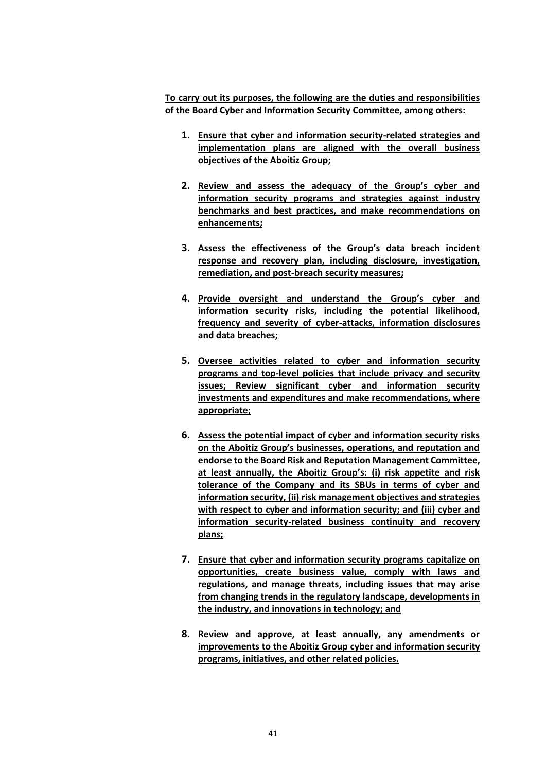**To carry out its purposes, the following are the duties and responsibilities of the Board Cyber and Information Security Committee, among others:**

- **1. Ensure that cyber and information security-related strategies and implementation plans are aligned with the overall business objectives of the Aboitiz Group;**
- **2. Review and assess the adequacy of the Group's cyber and information security programs and strategies against industry benchmarks and best practices, and make recommendations on enhancements;**
- **3. Assess the effectiveness of the Group's data breach incident response and recovery plan, including disclosure, investigation, remediation, and post-breach security measures;**
- **4. Provide oversight and understand the Group's cyber and information security risks, including the potential likelihood, frequency and severity of cyber-attacks, information disclosures and data breaches;**
- **5. Oversee activities related to cyber and information security programs and top-level policies that include privacy and security issues; Review significant cyber and information security investments and expenditures and make recommendations, where appropriate;**
- **6. Assess the potential impact of cyber and information security risks on the Aboitiz Group's businesses, operations, and reputation and endorse to the Board Risk and Reputation Management Committee, at least annually, the Aboitiz Group's: (i) risk appetite and risk tolerance of the Company and its SBUs in terms of cyber and information security, (ii) risk management objectives and strategies with respect to cyber and information security; and (iii) cyber and information security-related business continuity and recovery plans;**
- **7. Ensure that cyber and information security programs capitalize on opportunities, create business value, comply with laws and regulations, and manage threats, including issues that may arise from changing trends in the regulatory landscape, developments in the industry, and innovations in technology; and**
- **8. Review and approve, at least annually, any amendments or improvements to the Aboitiz Group cyber and information security programs, initiatives, and other related policies.**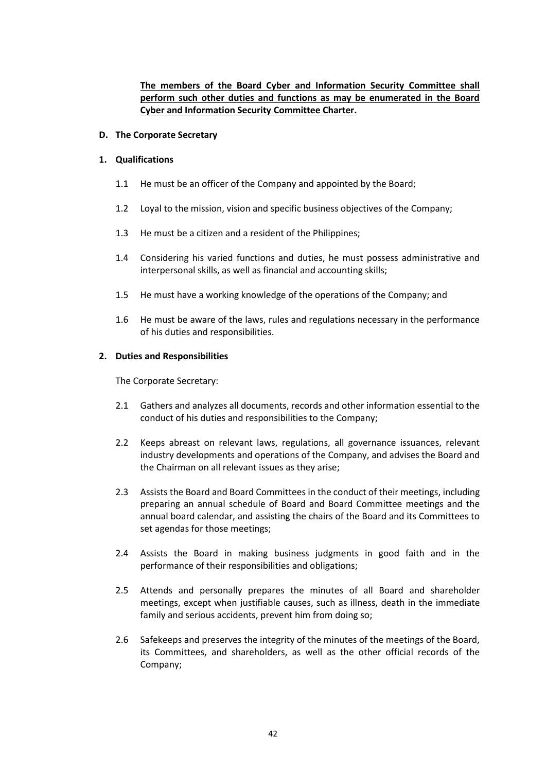# **The members of the Board Cyber and Information Security Committee shall perform such other duties and functions as may be enumerated in the Board Cyber and Information Security Committee Charter.**

#### **D. The Corporate Secretary**

#### **1. Qualifications**

- 1.1 He must be an officer of the Company and appointed by the Board;
- 1.2 Loyal to the mission, vision and specific business objectives of the Company;
- 1.3 He must be a citizen and a resident of the Philippines;
- 1.4 Considering his varied functions and duties, he must possess administrative and interpersonal skills, as well as financial and accounting skills;
- 1.5 He must have a working knowledge of the operations of the Company; and
- 1.6 He must be aware of the laws, rules and regulations necessary in the performance of his duties and responsibilities.

#### **2. Duties and Responsibilities**

The Corporate Secretary:

- 2.1 Gathers and analyzes all documents, records and other information essential to the conduct of his duties and responsibilities to the Company;
- 2.2 Keeps abreast on relevant laws, regulations, all governance issuances, relevant industry developments and operations of the Company, and advises the Board and the Chairman on all relevant issues as they arise;
- 2.3 Assists the Board and Board Committees in the conduct of their meetings, including preparing an annual schedule of Board and Board Committee meetings and the annual board calendar, and assisting the chairs of the Board and its Committees to set agendas for those meetings;
- 2.4 Assists the Board in making business judgments in good faith and in the performance of their responsibilities and obligations;
- 2.5 Attends and personally prepares the minutes of all Board and shareholder meetings, except when justifiable causes, such as illness, death in the immediate family and serious accidents, prevent him from doing so;
- 2.6 Safekeeps and preserves the integrity of the minutes of the meetings of the Board, its Committees, and shareholders, as well as the other official records of the Company;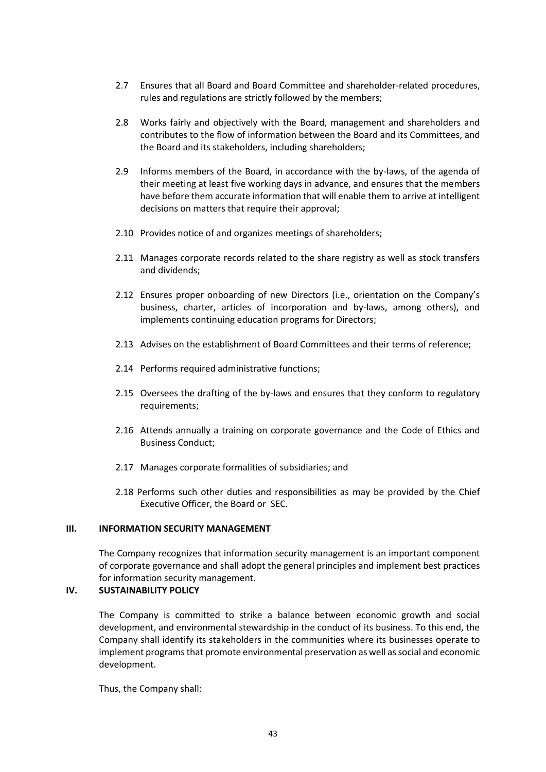- 2.7 Ensures that all Board and Board Committee and shareholder-related procedures, rules and regulations are strictly followed by the members;
- 2.8 Works fairly and objectively with the Board, management and shareholders and contributes to the flow of information between the Board and its Committees, and the Board and its stakeholders, including shareholders;
- 2.9 Informs members of the Board, in accordance with the by-laws, of the agenda of their meeting at least five working days in advance, and ensures that the members have before them accurate information that will enable them to arrive at intelligent decisions on matters that require their approval;
- 2.10 Provides notice of and organizes meetings of shareholders;
- 2.11 Manages corporate records related to the share registry as well as stock transfers and dividends;
- 2.12 Ensures proper onboarding of new Directors (i.e., orientation on the Company's business, charter, articles of incorporation and by-laws, among others), and implements continuing education programs for Directors;
- 2.13 Advises on the establishment of Board Committees and their terms of reference;
- 2.14 Performs required administrative functions;
- 2.15 Oversees the drafting of the by-laws and ensures that they conform to regulatory requirements;
- 2.16 Attends annually a training on corporate governance and the Code of Ethics and Business Conduct;
- 2.17 Manages corporate formalities of subsidiaries; and
- 2.18 Performs such other duties and responsibilities as may be provided by the Chief Executive Officer, the Board or SEC.

## **III. INFORMATION SECURITY MANAGEMENT**

The Company recognizes that information security management is an important component of corporate governance and shall adopt the general principles and implement best practices for information security management.

# **IV. SUSTAINABILITY POLICY**

The Company is committed to strike a balance between economic growth and social development, and environmental stewardship in the conduct of its business. To this end, the Company shall identify its stakeholders in the communities where its businesses operate to implement programs that promote environmental preservation as well as social and economic development.

Thus, the Company shall: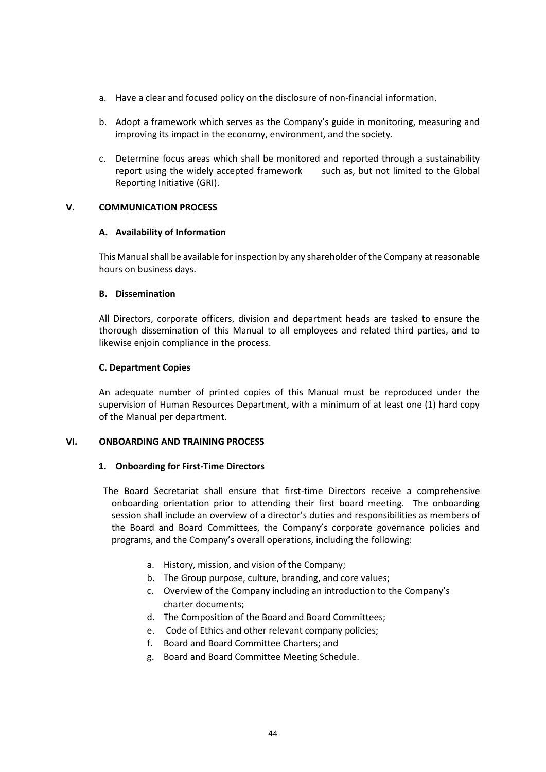- a. Have a clear and focused policy on the disclosure of non-financial information.
- b. Adopt a framework which serves as the Company's guide in monitoring, measuring and improving its impact in the economy, environment, and the society.
- c. Determine focus areas which shall be monitored and reported through a sustainability report using the widely accepted framework such as, but not limited to the Global Reporting Initiative (GRI).

## **V. COMMUNICATION PROCESS**

## **A. Availability of Information**

This Manual shall be available for inspection by any shareholder of the Company at reasonable hours on business days.

## **B. Dissemination**

All Directors, corporate officers, division and department heads are tasked to ensure the thorough dissemination of this Manual to all employees and related third parties, and to likewise enjoin compliance in the process.

## **C. Department Copies**

An adequate number of printed copies of this Manual must be reproduced under the supervision of Human Resources Department, with a minimum of at least one (1) hard copy of the Manual per department.

# **VI. ONBOARDING AND TRAINING PROCESS**

## **1. Onboarding for First-Time Directors**

The Board Secretariat shall ensure that first-time Directors receive a comprehensive onboarding orientation prior to attending their first board meeting. The onboarding session shall include an overview of a director's duties and responsibilities as members of the Board and Board Committees, the Company's corporate governance policies and programs, and the Company's overall operations, including the following:

- a. History, mission, and vision of the Company;
- b. The Group purpose, culture, branding, and core values;
- c. Overview of the Company including an introduction to the Company's charter documents;
- d. The Composition of the Board and Board Committees;
- e. Code of Ethics and other relevant company policies;
- f. Board and Board Committee Charters; and
- g. Board and Board Committee Meeting Schedule.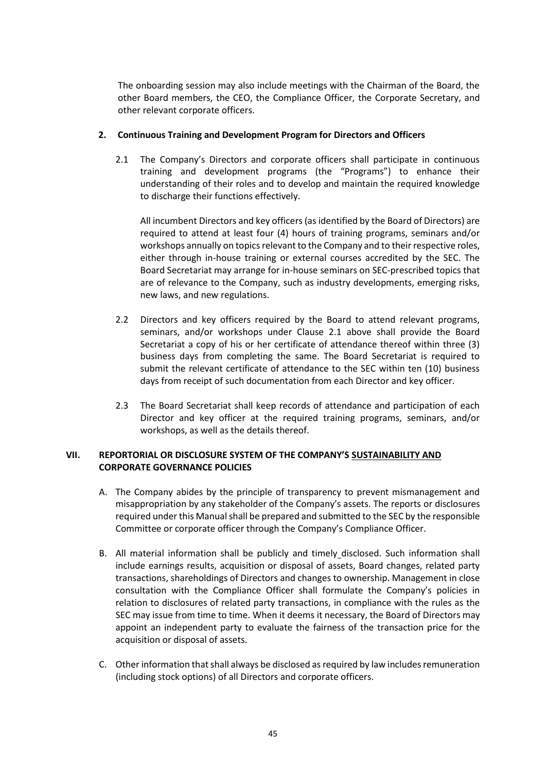The onboarding session may also include meetings with the Chairman of the Board, the other Board members, the CEO, the Compliance Officer, the Corporate Secretary, and other relevant corporate officers.

## **2. Continuous Training and Development Program for Directors and Officers**

2.1 The Company's Directors and corporate officers shall participate in continuous training and development programs (the "Programs") to enhance their understanding of their roles and to develop and maintain the required knowledge to discharge their functions effectively.

All incumbent Directors and key officers (as identified by the Board of Directors) are required to attend at least four (4) hours of training programs, seminars and/or workshops annually on topics relevant to the Company and to their respective roles, either through in-house training or external courses accredited by the SEC. The Board Secretariat may arrange for in-house seminars on SEC-prescribed topics that are of relevance to the Company, such as industry developments, emerging risks, new laws, and new regulations.

- 2.2 Directors and key officers required by the Board to attend relevant programs, seminars, and/or workshops under Clause 2.1 above shall provide the Board Secretariat a copy of his or her certificate of attendance thereof within three (3) business days from completing the same. The Board Secretariat is required to submit the relevant certificate of attendance to the SEC within ten (10) business days from receipt of such documentation from each Director and key officer.
- 2.3 The Board Secretariat shall keep records of attendance and participation of each Director and key officer at the required training programs, seminars, and/or workshops, as well as the details thereof.

# **VII. REPORTORIAL OR DISCLOSURE SYSTEM OF THE COMPANY'S SUSTAINABILITY AND CORPORATE GOVERNANCE POLICIES**

- A. The Company abides by the principle of transparency to prevent mismanagement and misappropriation by any stakeholder of the Company's assets. The reports or disclosures required under this Manual shall be prepared and submitted to the SEC by the responsible Committee or corporate officer through the Company's Compliance Officer.
- B. All material information shall be publicly and timely disclosed. Such information shall include earnings results, acquisition or disposal of assets, Board changes, related party transactions, shareholdings of Directors and changes to ownership. Management in close consultation with the Compliance Officer shall formulate the Company's policies in relation to disclosures of related party transactions, in compliance with the rules as the SEC may issue from time to time. When it deems it necessary, the Board of Directors may appoint an independent party to evaluate the fairness of the transaction price for the acquisition or disposal of assets.
- C. Other information that shall always be disclosed as required by law includes remuneration (including stock options) of all Directors and corporate officers.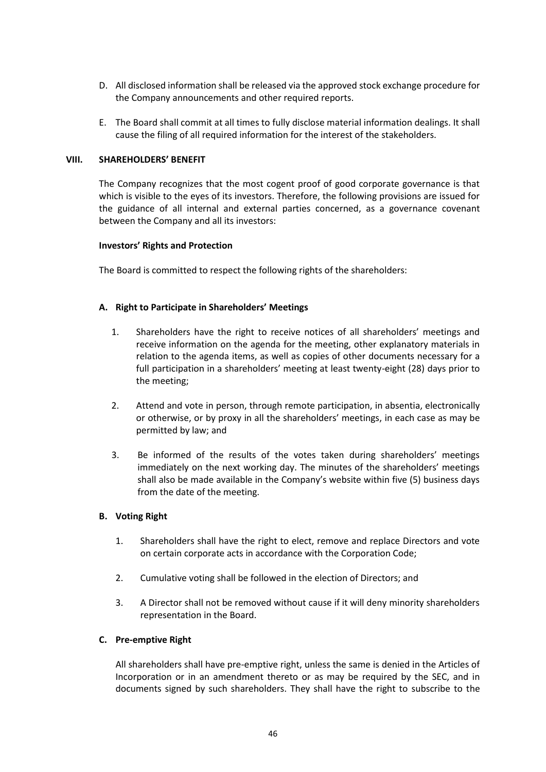- D. All disclosed information shall be released via the approved stock exchange procedure for the Company announcements and other required reports.
- E. The Board shall commit at all times to fully disclose material information dealings. It shall cause the filing of all required information for the interest of the stakeholders.

#### **VIII. SHAREHOLDERS' BENEFIT**

The Company recognizes that the most cogent proof of good corporate governance is that which is visible to the eyes of its investors. Therefore, the following provisions are issued for the guidance of all internal and external parties concerned, as a governance covenant between the Company and all its investors:

#### **Investors' Rights and Protection**

The Board is committed to respect the following rights of the shareholders:

## **A. Right to Participate in Shareholders' Meetings**

- 1. Shareholders have the right to receive notices of all shareholders' meetings and receive information on the agenda for the meeting, other explanatory materials in relation to the agenda items, as well as copies of other documents necessary for a full participation in a shareholders' meeting at least twenty-eight (28) days prior to the meeting;
- 2. Attend and vote in person, through remote participation, in absentia, electronically or otherwise, or by proxy in all the shareholders' meetings, in each case as may be permitted by law; and
- 3. Be informed of the results of the votes taken during shareholders' meetings immediately on the next working day. The minutes of the shareholders' meetings shall also be made available in the Company's website within five (5) business days from the date of the meeting.

## **B. Voting Right**

- 1. Shareholders shall have the right to elect, remove and replace Directors and vote on certain corporate acts in accordance with the Corporation Code;
- 2. Cumulative voting shall be followed in the election of Directors; and
- 3. A Director shall not be removed without cause if it will deny minority shareholders representation in the Board.

## **C. Pre-emptive Right**

All shareholders shall have pre-emptive right, unless the same is denied in the Articles of Incorporation or in an amendment thereto or as may be required by the SEC, and in documents signed by such shareholders. They shall have the right to subscribe to the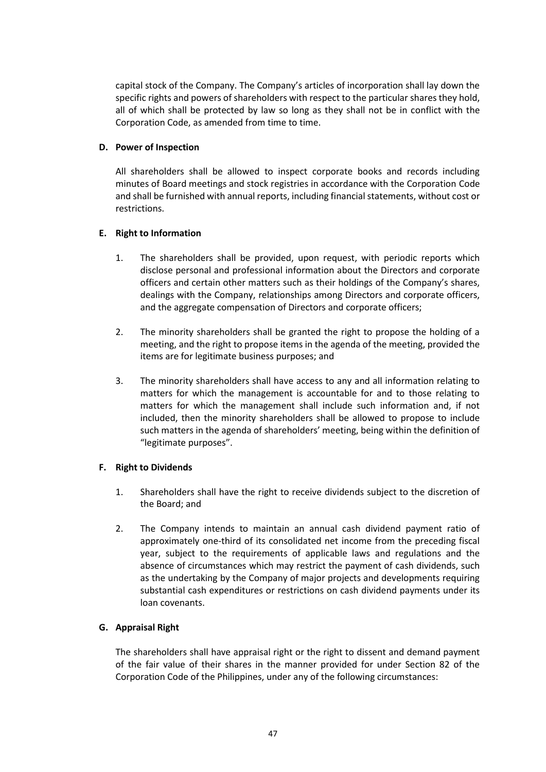capital stock of the Company. The Company's articles of incorporation shall lay down the specific rights and powers of shareholders with respect to the particular shares they hold, all of which shall be protected by law so long as they shall not be in conflict with the Corporation Code, as amended from time to time.

## **D. Power of Inspection**

All shareholders shall be allowed to inspect corporate books and records including minutes of Board meetings and stock registries in accordance with the Corporation Code and shall be furnished with annual reports, including financial statements, without cost or restrictions.

# **E. Right to Information**

- 1. The shareholders shall be provided, upon request, with periodic reports which disclose personal and professional information about the Directors and corporate officers and certain other matters such as their holdings of the Company's shares, dealings with the Company, relationships among Directors and corporate officers, and the aggregate compensation of Directors and corporate officers;
- 2. The minority shareholders shall be granted the right to propose the holding of a meeting, and the right to propose items in the agenda of the meeting, provided the items are for legitimate business purposes; and
- 3. The minority shareholders shall have access to any and all information relating to matters for which the management is accountable for and to those relating to matters for which the management shall include such information and, if not included, then the minority shareholders shall be allowed to propose to include such matters in the agenda of shareholders' meeting, being within the definition of "legitimate purposes".

# **F. Right to Dividends**

- 1. Shareholders shall have the right to receive dividends subject to the discretion of the Board; and
- 2. The Company intends to maintain an annual cash dividend payment ratio of approximately one-third of its consolidated net income from the preceding fiscal year, subject to the requirements of applicable laws and regulations and the absence of circumstances which may restrict the payment of cash dividends, such as the undertaking by the Company of major projects and developments requiring substantial cash expenditures or restrictions on cash dividend payments under its loan covenants.

# **G. Appraisal Right**

The shareholders shall have appraisal right or the right to dissent and demand payment of the fair value of their shares in the manner provided for under Section 82 of the Corporation Code of the Philippines, under any of the following circumstances: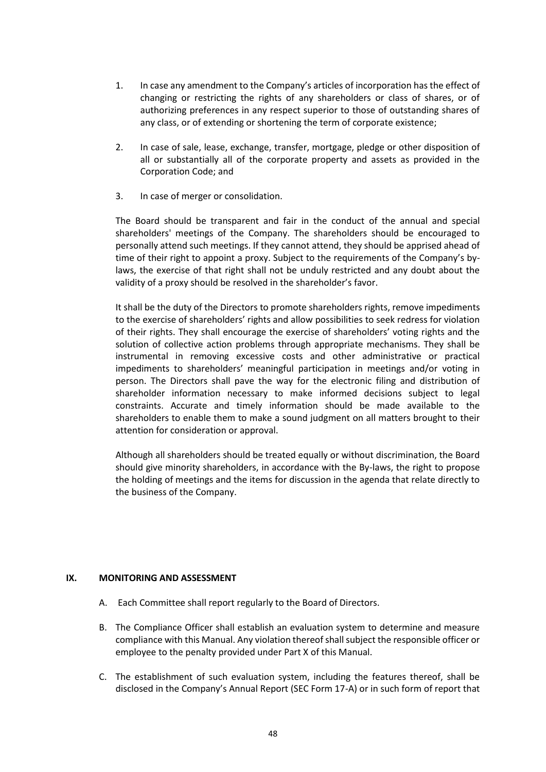- 1. In case any amendment to the Company's articles of incorporation has the effect of changing or restricting the rights of any shareholders or class of shares, or of authorizing preferences in any respect superior to those of outstanding shares of any class, or of extending or shortening the term of corporate existence;
- 2. In case of sale, lease, exchange, transfer, mortgage, pledge or other disposition of all or substantially all of the corporate property and assets as provided in the Corporation Code; and
- 3. In case of merger or consolidation.

The Board should be transparent and fair in the conduct of the annual and special shareholders' meetings of the Company. The shareholders should be encouraged to personally attend such meetings. If they cannot attend, they should be apprised ahead of time of their right to appoint a proxy. Subject to the requirements of the Company's bylaws, the exercise of that right shall not be unduly restricted and any doubt about the validity of a proxy should be resolved in the shareholder's favor.

It shall be the duty of the Directors to promote shareholders rights, remove impediments to the exercise of shareholders' rights and allow possibilities to seek redress for violation of their rights. They shall encourage the exercise of shareholders' voting rights and the solution of collective action problems through appropriate mechanisms. They shall be instrumental in removing excessive costs and other administrative or practical impediments to shareholders' meaningful participation in meetings and/or voting in person. The Directors shall pave the way for the electronic filing and distribution of shareholder information necessary to make informed decisions subject to legal constraints. Accurate and timely information should be made available to the shareholders to enable them to make a sound judgment on all matters brought to their attention for consideration or approval.

Although all shareholders should be treated equally or without discrimination, the Board should give minority shareholders, in accordance with the By-laws, the right to propose the holding of meetings and the items for discussion in the agenda that relate directly to the business of the Company.

## **IX. MONITORING AND ASSESSMENT**

- A. Each Committee shall report regularly to the Board of Directors.
- B. The Compliance Officer shall establish an evaluation system to determine and measure compliance with this Manual. Any violation thereof shall subject the responsible officer or employee to the penalty provided under Part X of this Manual.
- C. The establishment of such evaluation system, including the features thereof, shall be disclosed in the Company's Annual Report (SEC Form 17-A) or in such form of report that